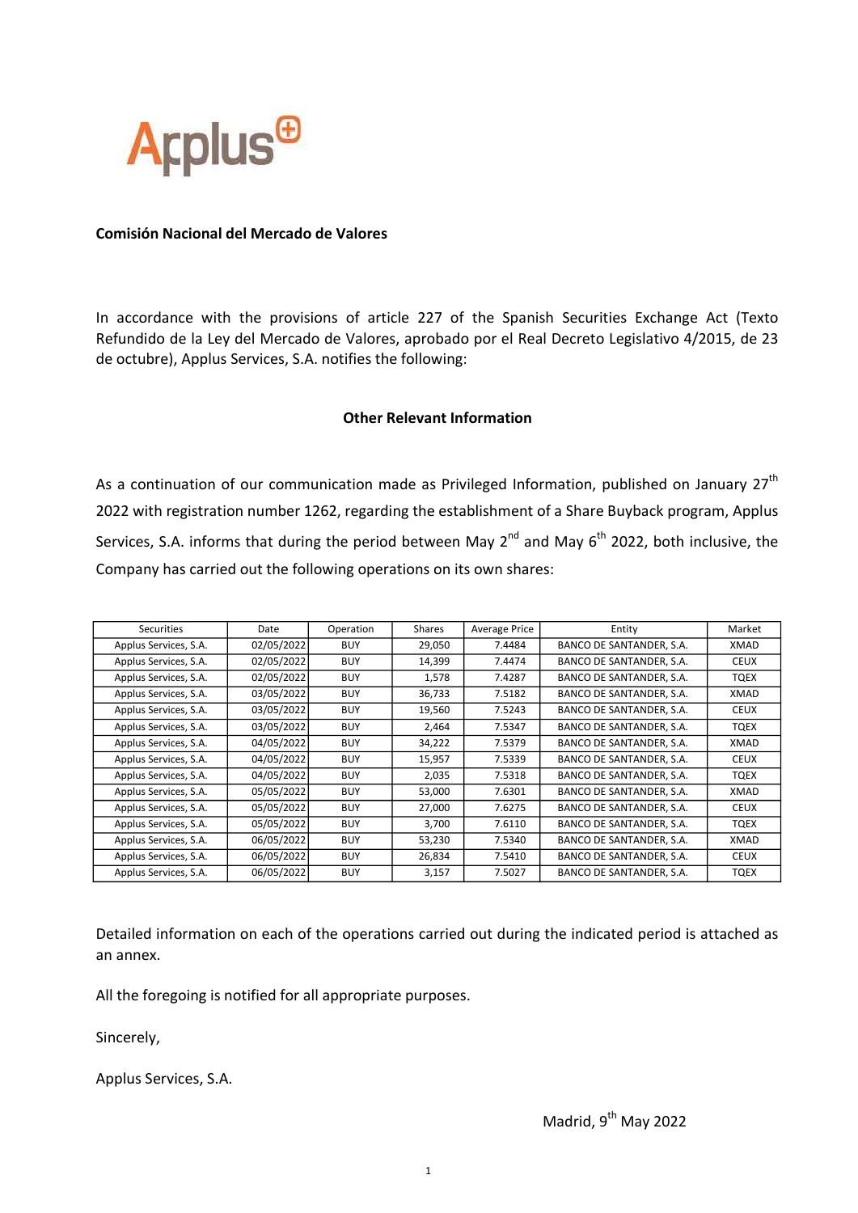

## Comisión Nacional del Mercado de Valores

In accordance with the provisions of article 227 of the Spanish Securities Exchange Act (Texto Refundido de la Ley del Mercado de Valores, aprobado por el Real Decreto Legislativo 4/2015, de 23 de octubre), Applus Services, S.A. notifies the following:

## Other Relevant Information

As a continuation of our communication made as Privileged Information, published on January  $27<sup>th</sup>$ 2022 with registration number 1262, regarding the establishment of a Share Buyback program, Applus Services, S.A. informs that during the period between May  $2^{nd}$  and May  $6^{th}$  2022, both inclusive, the Company has carried out the following operations on its own shares:

| Securities            | Date       | Operation  | Shares | <b>Average Price</b> | Entity                   | Market      |
|-----------------------|------------|------------|--------|----------------------|--------------------------|-------------|
| Applus Services, S.A. | 02/05/2022 | <b>BUY</b> | 29,050 | 7.4484               | BANCO DE SANTANDER, S.A. | XMAD        |
| Applus Services, S.A. | 02/05/2022 | <b>BUY</b> | 14,399 | 7.4474               | BANCO DE SANTANDER, S.A. | <b>CEUX</b> |
| Applus Services, S.A. | 02/05/2022 | <b>BUY</b> | 1,578  | 7.4287               | BANCO DE SANTANDER, S.A. | TQEX        |
| Applus Services, S.A. | 03/05/2022 | <b>BUY</b> | 36,733 | 7.5182               | BANCO DE SANTANDER, S.A. | XMAD        |
| Applus Services, S.A. | 03/05/2022 | <b>BUY</b> | 19,560 | 7.5243               | BANCO DE SANTANDER, S.A. | <b>CEUX</b> |
| Applus Services, S.A. | 03/05/2022 | <b>BUY</b> | 2,464  | 7.5347               | BANCO DE SANTANDER, S.A. | TQEX        |
| Applus Services, S.A. | 04/05/2022 | <b>BUY</b> | 34,222 | 7.5379               | BANCO DE SANTANDER, S.A. | XMAD        |
| Applus Services, S.A. | 04/05/2022 | <b>BUY</b> | 15,957 | 7.5339               | BANCO DE SANTANDER, S.A. | <b>CEUX</b> |
| Applus Services, S.A. | 04/05/2022 | <b>BUY</b> | 2,035  | 7.5318               | BANCO DE SANTANDER, S.A. | TQEX        |
| Applus Services, S.A. | 05/05/2022 | <b>BUY</b> | 53,000 | 7.6301               | BANCO DE SANTANDER, S.A. | XMAD        |
| Applus Services, S.A. | 05/05/2022 | <b>BUY</b> | 27,000 | 7.6275               | BANCO DE SANTANDER, S.A. | <b>CEUX</b> |
| Applus Services, S.A. | 05/05/2022 | <b>BUY</b> | 3,700  | 7.6110               | BANCO DE SANTANDER, S.A. | TQEX        |
| Applus Services, S.A. | 06/05/2022 | <b>BUY</b> | 53,230 | 7.5340               | BANCO DE SANTANDER, S.A. | XMAD        |
| Applus Services, S.A. | 06/05/2022 | <b>BUY</b> | 26,834 | 7.5410               | BANCO DE SANTANDER, S.A. | <b>CEUX</b> |
| Applus Services, S.A. | 06/05/2022 | <b>BUY</b> | 3,157  | 7.5027               | BANCO DE SANTANDER, S.A. | <b>TQEX</b> |

Detailed information on each of the operations carried out during the indicated period is attached as an annex.

All the foregoing is notified for all appropriate purposes.

Sincerely,

Applus Services, S.A.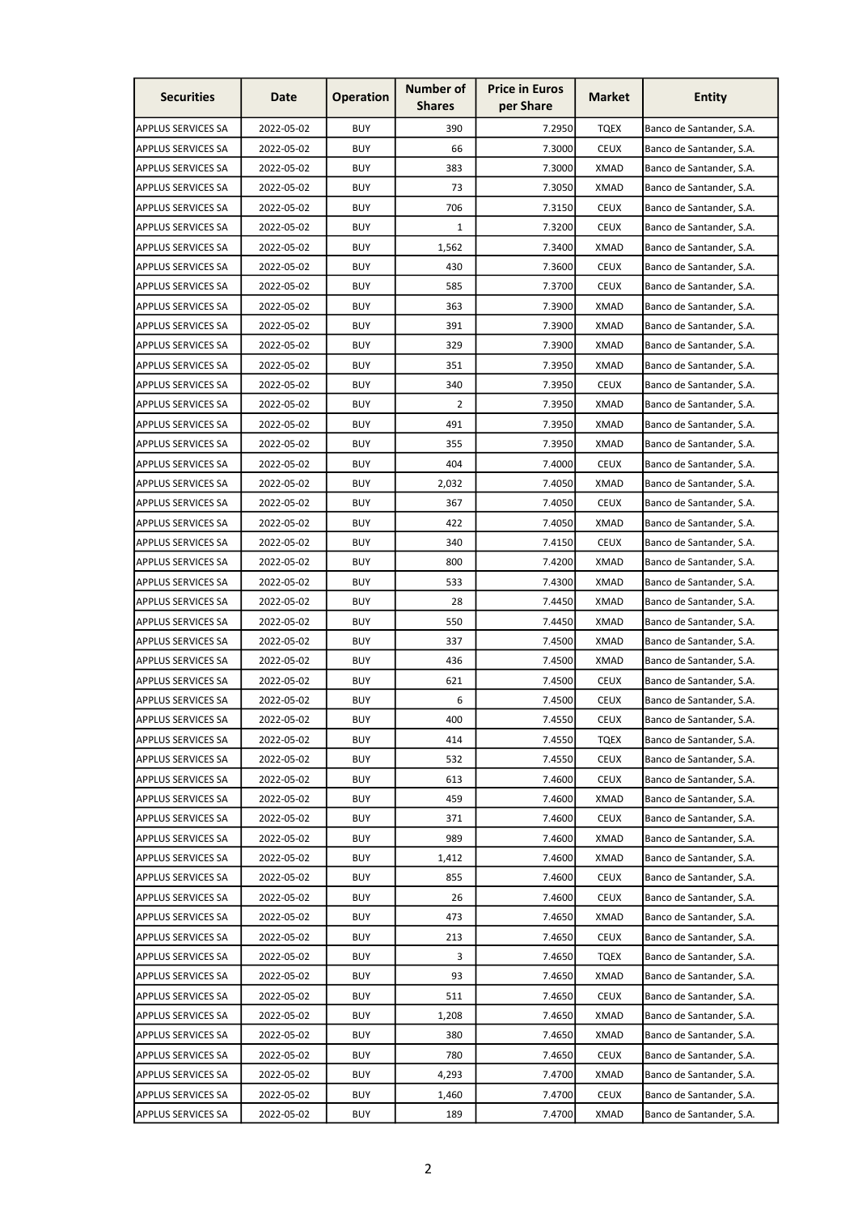| <b>Securities</b>         | Date       | <b>Operation</b> | <b>Number of</b><br><b>Shares</b> | <b>Price in Euros</b><br>per Share | <b>Market</b> | <b>Entity</b>            |
|---------------------------|------------|------------------|-----------------------------------|------------------------------------|---------------|--------------------------|
| <b>APPLUS SERVICES SA</b> | 2022-05-02 | <b>BUY</b>       | 390                               | 7.2950                             | <b>TQEX</b>   | Banco de Santander, S.A. |
| APPLUS SERVICES SA        | 2022-05-02 | <b>BUY</b>       | 66                                | 7.3000                             | <b>CEUX</b>   | Banco de Santander, S.A. |
| APPLUS SERVICES SA        | 2022-05-02 | <b>BUY</b>       | 383                               | 7.3000                             | <b>XMAD</b>   | Banco de Santander, S.A. |
| APPLUS SERVICES SA        | 2022-05-02 | <b>BUY</b>       | 73                                | 7.3050                             | <b>XMAD</b>   | Banco de Santander, S.A. |
| APPLUS SERVICES SA        | 2022-05-02 | <b>BUY</b>       | 706                               | 7.3150                             | <b>CEUX</b>   | Banco de Santander, S.A. |
| <b>APPLUS SERVICES SA</b> | 2022-05-02 | <b>BUY</b>       | $\mathbf{1}$                      | 7.3200                             | <b>CEUX</b>   | Banco de Santander, S.A. |
| APPLUS SERVICES SA        | 2022-05-02 | <b>BUY</b>       | 1,562                             | 7.3400                             | <b>XMAD</b>   | Banco de Santander, S.A. |
| <b>APPLUS SERVICES SA</b> | 2022-05-02 | <b>BUY</b>       | 430                               | 7.3600                             | <b>CEUX</b>   | Banco de Santander, S.A. |
| APPLUS SERVICES SA        | 2022-05-02 | BUY              | 585                               | 7.3700                             | <b>CEUX</b>   | Banco de Santander, S.A. |
| APPLUS SERVICES SA        | 2022-05-02 | BUY              | 363                               | 7.3900                             | <b>XMAD</b>   | Banco de Santander, S.A. |
| <b>APPLUS SERVICES SA</b> | 2022-05-02 | BUY              | 391                               | 7.3900                             | <b>XMAD</b>   | Banco de Santander, S.A. |
| APPLUS SERVICES SA        | 2022-05-02 | <b>BUY</b>       | 329                               | 7.3900                             | <b>XMAD</b>   | Banco de Santander, S.A. |
| APPLUS SERVICES SA        | 2022-05-02 | <b>BUY</b>       | 351                               | 7.3950                             | <b>XMAD</b>   | Banco de Santander, S.A. |
| APPLUS SERVICES SA        | 2022-05-02 | <b>BUY</b>       | 340                               | 7.3950                             | CEUX          | Banco de Santander, S.A. |
| <b>APPLUS SERVICES SA</b> | 2022-05-02 | <b>BUY</b>       | 2                                 | 7.3950                             | XMAD          | Banco de Santander, S.A. |
| APPLUS SERVICES SA        | 2022-05-02 | <b>BUY</b>       | 491                               | 7.3950                             | <b>XMAD</b>   | Banco de Santander, S.A. |
| APPLUS SERVICES SA        | 2022-05-02 | <b>BUY</b>       | 355                               | 7.3950                             | <b>XMAD</b>   | Banco de Santander, S.A. |
| <b>APPLUS SERVICES SA</b> | 2022-05-02 | <b>BUY</b>       | 404                               | 7.4000                             | <b>CEUX</b>   | Banco de Santander, S.A. |
| <b>APPLUS SERVICES SA</b> | 2022-05-02 | <b>BUY</b>       | 2,032                             | 7.4050                             | XMAD          | Banco de Santander, S.A. |
| APPLUS SERVICES SA        | 2022-05-02 | <b>BUY</b>       | 367                               | 7.4050                             | <b>CEUX</b>   | Banco de Santander, S.A. |
| APPLUS SERVICES SA        | 2022-05-02 | <b>BUY</b>       | 422                               | 7.4050                             | <b>XMAD</b>   | Banco de Santander, S.A. |
| <b>APPLUS SERVICES SA</b> | 2022-05-02 | <b>BUY</b>       | 340                               | 7.4150                             | <b>CEUX</b>   | Banco de Santander, S.A. |
| APPLUS SERVICES SA        | 2022-05-02 | <b>BUY</b>       | 800                               | 7.4200                             | XMAD          | Banco de Santander, S.A. |
| APPLUS SERVICES SA        | 2022-05-02 | BUY              | 533                               | 7.4300                             | <b>XMAD</b>   | Banco de Santander, S.A. |
| APPLUS SERVICES SA        | 2022-05-02 | <b>BUY</b>       | 28                                | 7.4450                             | <b>XMAD</b>   | Banco de Santander, S.A. |
| <b>APPLUS SERVICES SA</b> | 2022-05-02 | BUY              | 550                               | 7.4450                             | XMAD          | Banco de Santander, S.A. |
| APPLUS SERVICES SA        | 2022-05-02 | BUY              | 337                               | 7.4500                             | <b>XMAD</b>   | Banco de Santander, S.A. |
| APPLUS SERVICES SA        | 2022-05-02 | <b>BUY</b>       | 436                               | 7.4500                             | <b>XMAD</b>   | Banco de Santander, S.A. |
| APPLUS SERVICES SA        | 2022-05-02 | <b>BUY</b>       | 621                               | 7.4500                             | <b>CEUX</b>   | Banco de Santander, S.A. |
| <b>APPLUS SERVICES SA</b> | 2022-05-02 | BUY              | 6                                 | 7.4500                             | <b>CEUX</b>   | Banco de Santander, S.A. |
| <b>APPLUS SERVICES SA</b> | 2022-05-02 | <b>BUY</b>       | 400                               | 7.4550                             | <b>CEUX</b>   | Banco de Santander, S.A. |
| APPLUS SERVICES SA        | 2022-05-02 | <b>BUY</b>       | 414                               | 7.4550                             | TQEX          | Banco de Santander, S.A. |
| APPLUS SERVICES SA        | 2022-05-02 | BUY              | 532                               | 7.4550                             | <b>CEUX</b>   | Banco de Santander, S.A. |
| APPLUS SERVICES SA        | 2022-05-02 | BUY              | 613                               | 7.4600                             | <b>CEUX</b>   | Banco de Santander, S.A. |
| APPLUS SERVICES SA        | 2022-05-02 | BUY              | 459                               | 7.4600                             | <b>XMAD</b>   | Banco de Santander, S.A. |
| <b>APPLUS SERVICES SA</b> | 2022-05-02 | BUY              | 371                               | 7.4600                             | <b>CEUX</b>   | Banco de Santander, S.A. |
| APPLUS SERVICES SA        | 2022-05-02 | BUY              | 989                               | 7.4600                             | <b>XMAD</b>   | Banco de Santander, S.A. |
| <b>APPLUS SERVICES SA</b> | 2022-05-02 | BUY              | 1,412                             | 7.4600                             | XMAD          | Banco de Santander, S.A. |
| APPLUS SERVICES SA        | 2022-05-02 | <b>BUY</b>       | 855                               | 7.4600                             | <b>CEUX</b>   | Banco de Santander, S.A. |
| <b>APPLUS SERVICES SA</b> | 2022-05-02 | BUY              | 26                                | 7.4600                             | <b>CEUX</b>   | Banco de Santander, S.A. |
| APPLUS SERVICES SA        | 2022-05-02 | BUY              | 473                               | 7.4650                             | XMAD          | Banco de Santander, S.A. |
| <b>APPLUS SERVICES SA</b> | 2022-05-02 | BUY              | 213                               | 7.4650                             | <b>CEUX</b>   | Banco de Santander, S.A. |
| APPLUS SERVICES SA        | 2022-05-02 | <b>BUY</b>       | 3                                 | 7.4650                             | TQEX          | Banco de Santander, S.A. |
| APPLUS SERVICES SA        | 2022-05-02 | BUY              | 93                                | 7.4650                             | <b>XMAD</b>   | Banco de Santander, S.A. |
| <b>APPLUS SERVICES SA</b> | 2022-05-02 | BUY              | 511                               | 7.4650                             | <b>CEUX</b>   | Banco de Santander, S.A. |
| APPLUS SERVICES SA        | 2022-05-02 | <b>BUY</b>       | 1,208                             | 7.4650                             | <b>XMAD</b>   | Banco de Santander, S.A. |
| <b>APPLUS SERVICES SA</b> | 2022-05-02 | <b>BUY</b>       | 380                               | 7.4650                             | <b>XMAD</b>   | Banco de Santander, S.A. |
| APPLUS SERVICES SA        | 2022-05-02 | BUY              | 780                               | 7.4650                             | <b>CEUX</b>   | Banco de Santander, S.A. |
| <b>APPLUS SERVICES SA</b> | 2022-05-02 | BUY              | 4,293                             | 7.4700                             | <b>XMAD</b>   | Banco de Santander, S.A. |
| APPLUS SERVICES SA        | 2022-05-02 | <b>BUY</b>       | 1,460                             | 7.4700                             | <b>CEUX</b>   | Banco de Santander, S.A. |
| <b>APPLUS SERVICES SA</b> | 2022-05-02 | BUY              | 189                               | 7.4700                             | XMAD          | Banco de Santander, S.A. |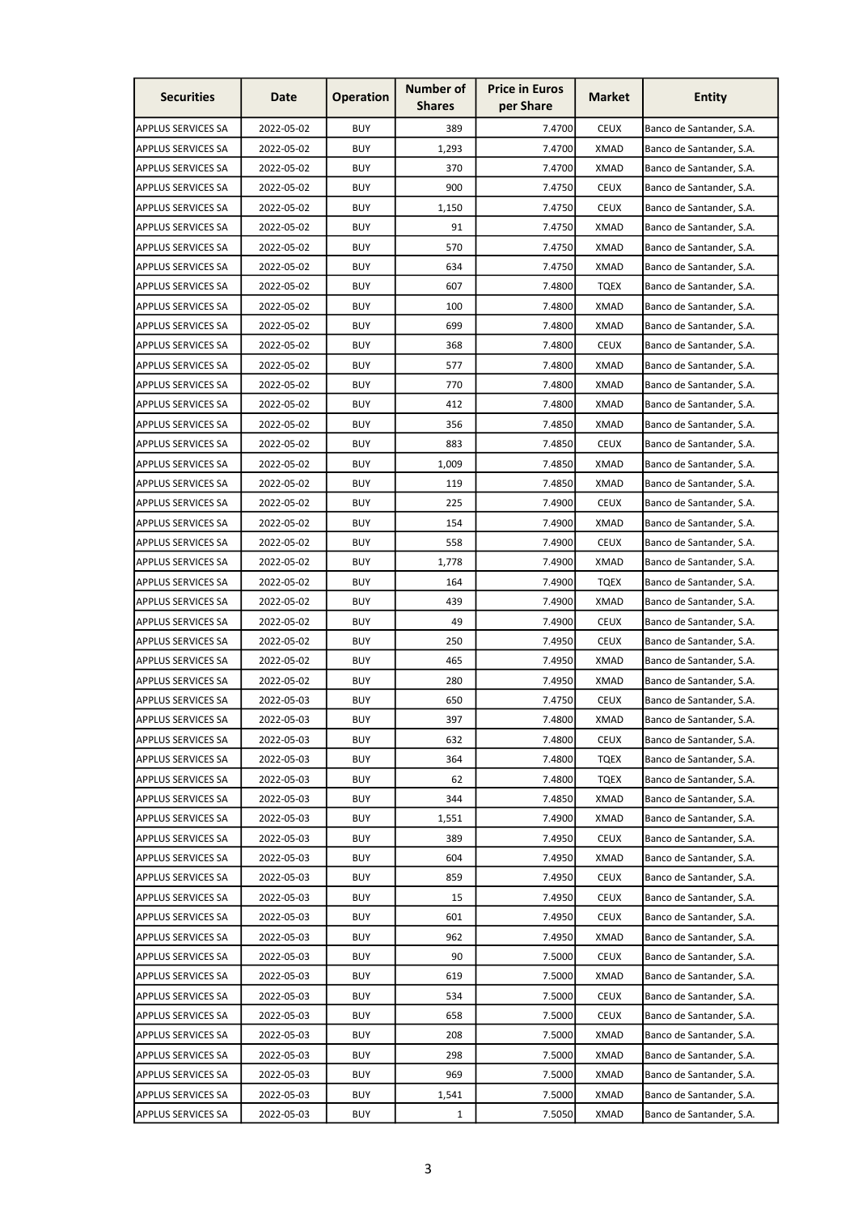| <b>Securities</b>         | Date       | <b>Operation</b> | <b>Number of</b><br><b>Shares</b> | <b>Price in Euros</b><br>per Share | <b>Market</b> | <b>Entity</b>            |
|---------------------------|------------|------------------|-----------------------------------|------------------------------------|---------------|--------------------------|
| <b>APPLUS SERVICES SA</b> | 2022-05-02 | <b>BUY</b>       | 389                               | 7.4700                             | <b>CEUX</b>   | Banco de Santander, S.A. |
| APPLUS SERVICES SA        | 2022-05-02 | <b>BUY</b>       | 1,293                             | 7.4700                             | <b>XMAD</b>   | Banco de Santander, S.A. |
| APPLUS SERVICES SA        | 2022-05-02 | <b>BUY</b>       | 370                               | 7.4700                             | XMAD          | Banco de Santander, S.A. |
| APPLUS SERVICES SA        | 2022-05-02 | <b>BUY</b>       | 900                               | 7.4750                             | <b>CEUX</b>   | Banco de Santander, S.A. |
| APPLUS SERVICES SA        | 2022-05-02 | <b>BUY</b>       | 1,150                             | 7.4750                             | <b>CEUX</b>   | Banco de Santander, S.A. |
| <b>APPLUS SERVICES SA</b> | 2022-05-02 | <b>BUY</b>       | 91                                | 7.4750                             | XMAD          | Banco de Santander, S.A. |
| APPLUS SERVICES SA        | 2022-05-02 | <b>BUY</b>       | 570                               | 7.4750                             | <b>XMAD</b>   | Banco de Santander, S.A. |
| <b>APPLUS SERVICES SA</b> | 2022-05-02 | <b>BUY</b>       | 634                               | 7.4750                             | XMAD          | Banco de Santander, S.A. |
| APPLUS SERVICES SA        | 2022-05-02 | BUY              | 607                               | 7.4800                             | <b>TQEX</b>   | Banco de Santander, S.A. |
| APPLUS SERVICES SA        | 2022-05-02 | BUY              | 100                               | 7.4800                             | <b>XMAD</b>   | Banco de Santander, S.A. |
| <b>APPLUS SERVICES SA</b> | 2022-05-02 | BUY              | 699                               | 7.4800                             | <b>XMAD</b>   | Banco de Santander, S.A. |
| APPLUS SERVICES SA        | 2022-05-02 | <b>BUY</b>       | 368                               | 7.4800                             | <b>CEUX</b>   | Banco de Santander, S.A. |
| APPLUS SERVICES SA        | 2022-05-02 | <b>BUY</b>       | 577                               | 7.4800                             | <b>XMAD</b>   | Banco de Santander, S.A. |
| APPLUS SERVICES SA        | 2022-05-02 | <b>BUY</b>       | 770                               | 7.4800                             | XMAD          | Banco de Santander, S.A. |
| <b>APPLUS SERVICES SA</b> | 2022-05-02 | <b>BUY</b>       | 412                               | 7.4800                             | XMAD          | Banco de Santander, S.A. |
| APPLUS SERVICES SA        | 2022-05-02 | <b>BUY</b>       | 356                               | 7.4850                             | <b>XMAD</b>   | Banco de Santander, S.A. |
| APPLUS SERVICES SA        | 2022-05-02 | <b>BUY</b>       | 883                               | 7.4850                             | <b>CEUX</b>   | Banco de Santander, S.A. |
| <b>APPLUS SERVICES SA</b> | 2022-05-02 | <b>BUY</b>       | 1,009                             | 7.4850                             | <b>XMAD</b>   | Banco de Santander, S.A. |
| <b>APPLUS SERVICES SA</b> | 2022-05-02 | <b>BUY</b>       | 119                               | 7.4850                             | XMAD          | Banco de Santander, S.A. |
| APPLUS SERVICES SA        | 2022-05-02 | <b>BUY</b>       | 225                               | 7.4900                             | <b>CEUX</b>   | Banco de Santander, S.A. |
| APPLUS SERVICES SA        | 2022-05-02 | <b>BUY</b>       | 154                               | 7.4900                             | <b>XMAD</b>   | Banco de Santander, S.A. |
| <b>APPLUS SERVICES SA</b> | 2022-05-02 | <b>BUY</b>       | 558                               | 7.4900                             | <b>CEUX</b>   | Banco de Santander, S.A. |
| APPLUS SERVICES SA        | 2022-05-02 | <b>BUY</b>       | 1,778                             | 7.4900                             | XMAD          | Banco de Santander, S.A. |
| APPLUS SERVICES SA        | 2022-05-02 | BUY              | 164                               | 7.4900                             | <b>TQEX</b>   | Banco de Santander, S.A. |
| APPLUS SERVICES SA        | 2022-05-02 | <b>BUY</b>       | 439                               | 7.4900                             | <b>XMAD</b>   | Banco de Santander, S.A. |
| <b>APPLUS SERVICES SA</b> | 2022-05-02 | BUY              | 49                                | 7.4900                             | <b>CEUX</b>   | Banco de Santander, S.A. |
| APPLUS SERVICES SA        | 2022-05-02 | BUY              | 250                               | 7.4950                             | <b>CEUX</b>   | Banco de Santander, S.A. |
| APPLUS SERVICES SA        | 2022-05-02 | <b>BUY</b>       | 465                               | 7.4950                             | <b>XMAD</b>   | Banco de Santander, S.A. |
| APPLUS SERVICES SA        | 2022-05-02 | <b>BUY</b>       | 280                               | 7.4950                             | <b>XMAD</b>   | Banco de Santander, S.A. |
| <b>APPLUS SERVICES SA</b> | 2022-05-03 | <b>BUY</b>       | 650                               | 7.4750                             | <b>CEUX</b>   | Banco de Santander, S.A. |
| <b>APPLUS SERVICES SA</b> | 2022-05-03 | <b>BUY</b>       | 397                               | 7.4800                             | <b>XMAD</b>   | Banco de Santander, S.A. |
| APPLUS SERVICES SA        | 2022-05-03 | <b>BUY</b>       | 632                               | 7.4800                             | <b>CEUX</b>   | Banco de Santander, S.A. |
| <b>APPLUS SERVICES SA</b> | 2022-05-03 | BUY              | 364                               | 7.4800                             | TQEX          | Banco de Santander, S.A. |
| APPLUS SERVICES SA        | 2022-05-03 | BUY              | 62                                | 7.4800                             | <b>TQEX</b>   | Banco de Santander, S.A. |
| APPLUS SERVICES SA        | 2022-05-03 | BUY              | 344                               | 7.4850                             | <b>XMAD</b>   | Banco de Santander, S.A. |
| <b>APPLUS SERVICES SA</b> | 2022-05-03 | BUY              | 1,551                             | 7.4900                             | <b>XMAD</b>   | Banco de Santander, S.A. |
| APPLUS SERVICES SA        | 2022-05-03 | BUY              | 389                               | 7.4950                             | <b>CEUX</b>   | Banco de Santander, S.A. |
| <b>APPLUS SERVICES SA</b> | 2022-05-03 | BUY              | 604                               | 7.4950                             | XMAD          | Banco de Santander, S.A. |
| APPLUS SERVICES SA        | 2022-05-03 | <b>BUY</b>       | 859                               | 7.4950                             | <b>CEUX</b>   | Banco de Santander, S.A. |
| <b>APPLUS SERVICES SA</b> | 2022-05-03 | BUY              | 15                                | 7.4950                             | <b>CEUX</b>   | Banco de Santander, S.A. |
| APPLUS SERVICES SA        | 2022-05-03 | BUY              | 601                               | 7.4950                             | <b>CEUX</b>   | Banco de Santander, S.A. |
| <b>APPLUS SERVICES SA</b> | 2022-05-03 | BUY              | 962                               | 7.4950                             | XMAD          | Banco de Santander, S.A. |
| APPLUS SERVICES SA        | 2022-05-03 | <b>BUY</b>       | 90                                | 7.5000                             | <b>CEUX</b>   | Banco de Santander, S.A. |
| APPLUS SERVICES SA        | 2022-05-03 | BUY              | 619                               | 7.5000                             | XMAD          | Banco de Santander, S.A. |
| <b>APPLUS SERVICES SA</b> | 2022-05-03 | BUY              | 534                               | 7.5000                             | <b>CEUX</b>   | Banco de Santander, S.A. |
| APPLUS SERVICES SA        | 2022-05-03 | <b>BUY</b>       | 658                               | 7.5000                             | <b>CEUX</b>   | Banco de Santander, S.A. |
| <b>APPLUS SERVICES SA</b> | 2022-05-03 | <b>BUY</b>       | 208                               | 7.5000                             | XMAD          | Banco de Santander, S.A. |
| APPLUS SERVICES SA        | 2022-05-03 | BUY              | 298                               | 7.5000                             | XMAD          | Banco de Santander, S.A. |
| <b>APPLUS SERVICES SA</b> | 2022-05-03 | BUY              | 969                               | 7.5000                             | <b>XMAD</b>   | Banco de Santander, S.A. |
| APPLUS SERVICES SA        | 2022-05-03 | <b>BUY</b>       | 1,541                             | 7.5000                             | <b>XMAD</b>   | Banco de Santander, S.A. |
| APPLUS SERVICES SA        | 2022-05-03 | BUY              | 1                                 | 7.5050                             | XMAD          | Banco de Santander, S.A. |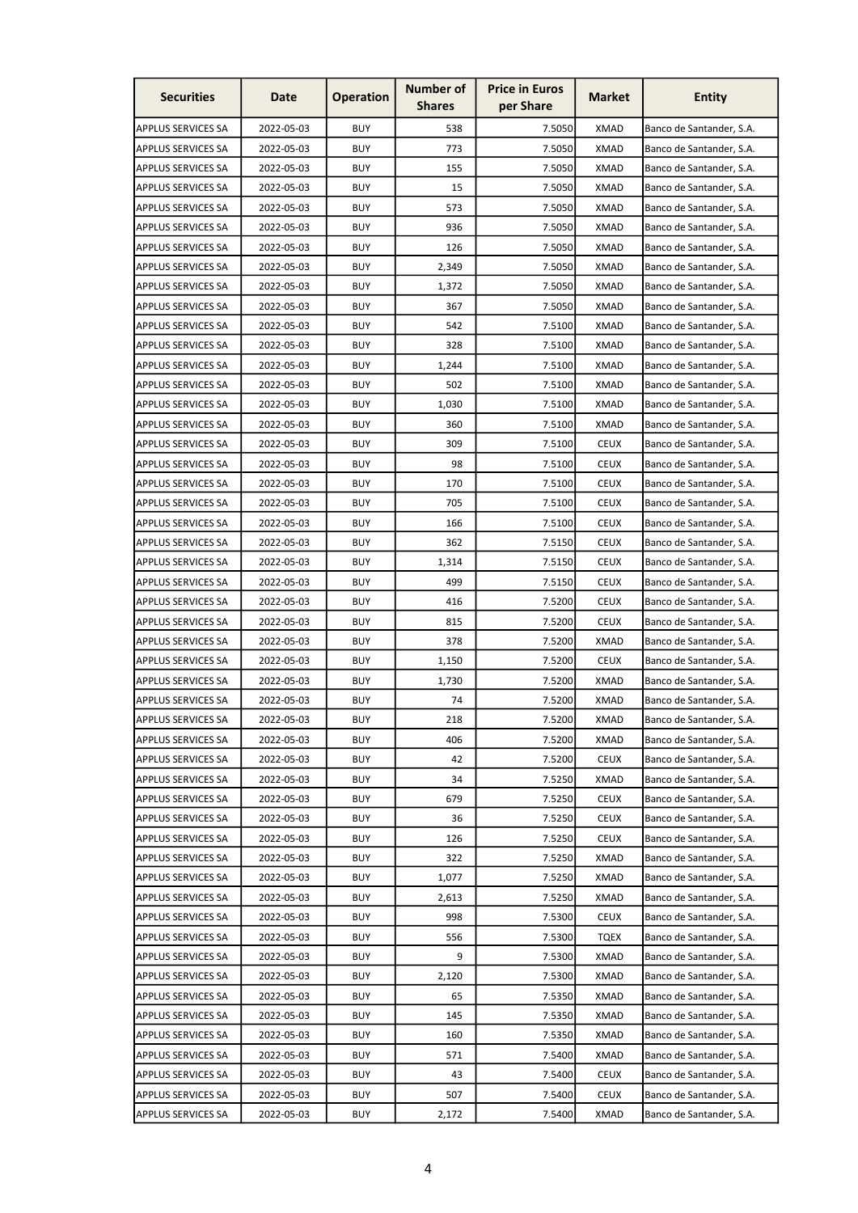| <b>Securities</b>         | Date       | <b>Operation</b> | <b>Number of</b><br><b>Shares</b> | <b>Price in Euros</b><br>per Share | <b>Market</b> | <b>Entity</b>            |
|---------------------------|------------|------------------|-----------------------------------|------------------------------------|---------------|--------------------------|
| <b>APPLUS SERVICES SA</b> | 2022-05-03 | <b>BUY</b>       | 538                               | 7.5050                             | <b>XMAD</b>   | Banco de Santander, S.A. |
| APPLUS SERVICES SA        | 2022-05-03 | <b>BUY</b>       | 773                               | 7.5050                             | <b>XMAD</b>   | Banco de Santander, S.A. |
| APPLUS SERVICES SA        | 2022-05-03 | <b>BUY</b>       | 155                               | 7.5050                             | XMAD          | Banco de Santander, S.A. |
| APPLUS SERVICES SA        | 2022-05-03 | <b>BUY</b>       | 15                                | 7.5050                             | <b>XMAD</b>   | Banco de Santander, S.A. |
| APPLUS SERVICES SA        | 2022-05-03 | <b>BUY</b>       | 573                               | 7.5050                             | <b>XMAD</b>   | Banco de Santander, S.A. |
| <b>APPLUS SERVICES SA</b> | 2022-05-03 | <b>BUY</b>       | 936                               | 7.5050                             | <b>XMAD</b>   | Banco de Santander, S.A. |
| APPLUS SERVICES SA        | 2022-05-03 | <b>BUY</b>       | 126                               | 7.5050                             | <b>XMAD</b>   | Banco de Santander, S.A. |
| <b>APPLUS SERVICES SA</b> | 2022-05-03 | <b>BUY</b>       | 2,349                             | 7.5050                             | XMAD          | Banco de Santander, S.A. |
| APPLUS SERVICES SA        | 2022-05-03 | BUY              | 1,372                             | 7.5050                             | XMAD          | Banco de Santander, S.A. |
| APPLUS SERVICES SA        | 2022-05-03 | BUY              | 367                               | 7.5050                             | <b>XMAD</b>   | Banco de Santander, S.A. |
| <b>APPLUS SERVICES SA</b> | 2022-05-03 | BUY              | 542                               | 7.5100                             | <b>XMAD</b>   | Banco de Santander, S.A. |
| APPLUS SERVICES SA        | 2022-05-03 | <b>BUY</b>       | 328                               | 7.5100                             | <b>XMAD</b>   | Banco de Santander, S.A. |
| APPLUS SERVICES SA        | 2022-05-03 | <b>BUY</b>       | 1,244                             | 7.5100                             | <b>XMAD</b>   | Banco de Santander, S.A. |
| APPLUS SERVICES SA        | 2022-05-03 | <b>BUY</b>       | 502                               | 7.5100                             | XMAD          | Banco de Santander, S.A. |
| <b>APPLUS SERVICES SA</b> | 2022-05-03 | <b>BUY</b>       | 1,030                             | 7.5100                             | XMAD          | Banco de Santander, S.A. |
| APPLUS SERVICES SA        | 2022-05-03 | <b>BUY</b>       | 360                               | 7.5100                             | <b>XMAD</b>   | Banco de Santander, S.A. |
| APPLUS SERVICES SA        | 2022-05-03 | <b>BUY</b>       | 309                               | 7.5100                             | <b>CEUX</b>   | Banco de Santander, S.A. |
| <b>APPLUS SERVICES SA</b> | 2022-05-03 | <b>BUY</b>       | 98                                | 7.5100                             | <b>CEUX</b>   | Banco de Santander, S.A. |
| <b>APPLUS SERVICES SA</b> | 2022-05-03 | <b>BUY</b>       | 170                               | 7.5100                             | <b>CEUX</b>   | Banco de Santander, S.A. |
| APPLUS SERVICES SA        | 2022-05-03 | <b>BUY</b>       | 705                               | 7.5100                             | <b>CEUX</b>   | Banco de Santander, S.A. |
| APPLUS SERVICES SA        | 2022-05-03 | <b>BUY</b>       | 166                               | 7.5100                             | <b>CEUX</b>   | Banco de Santander, S.A. |
| <b>APPLUS SERVICES SA</b> | 2022-05-03 | <b>BUY</b>       | 362                               | 7.5150                             | <b>CEUX</b>   | Banco de Santander, S.A. |
| APPLUS SERVICES SA        | 2022-05-03 | <b>BUY</b>       | 1,314                             | 7.5150                             | <b>CEUX</b>   | Banco de Santander, S.A. |
| APPLUS SERVICES SA        | 2022-05-03 | BUY              | 499                               | 7.5150                             | <b>CEUX</b>   | Banco de Santander, S.A. |
| APPLUS SERVICES SA        | 2022-05-03 | <b>BUY</b>       | 416                               | 7.5200                             | <b>CEUX</b>   | Banco de Santander, S.A. |
| <b>APPLUS SERVICES SA</b> | 2022-05-03 | BUY              | 815                               | 7.5200                             | <b>CEUX</b>   | Banco de Santander, S.A. |
| APPLUS SERVICES SA        | 2022-05-03 | BUY              | 378                               | 7.5200                             | XMAD          | Banco de Santander, S.A. |
| APPLUS SERVICES SA        | 2022-05-03 | <b>BUY</b>       | 1,150                             | 7.5200                             | <b>CEUX</b>   | Banco de Santander, S.A. |
| APPLUS SERVICES SA        | 2022-05-03 | <b>BUY</b>       | 1,730                             | 7.5200                             | XMAD          | Banco de Santander, S.A. |
| <b>APPLUS SERVICES SA</b> | 2022-05-03 | BUY              | 74                                | 7.5200                             | XMAD          | Banco de Santander, S.A. |
| <b>APPLUS SERVICES SA</b> | 2022-05-03 | <b>BUY</b>       | 218                               | 7.5200                             | <b>XMAD</b>   | Banco de Santander, S.A. |
| APPLUS SERVICES SA        | 2022-05-03 | <b>BUY</b>       | 406                               | 7.5200                             | <b>XMAD</b>   | Banco de Santander, S.A. |
| APPLUS SERVICES SA        | 2022-05-03 | BUY              | 42                                | 7.5200                             | <b>CEUX</b>   | Banco de Santander, S.A. |
| APPLUS SERVICES SA        | 2022-05-03 | BUY              | 34                                | 7.5250                             | XMAD          | Banco de Santander, S.A. |
| APPLUS SERVICES SA        | 2022-05-03 | <b>BUY</b>       | 679                               | 7.5250                             | <b>CEUX</b>   | Banco de Santander, S.A. |
| <b>APPLUS SERVICES SA</b> | 2022-05-03 | BUY              | 36                                | 7.5250                             | <b>CEUX</b>   | Banco de Santander, S.A. |
| APPLUS SERVICES SA        | 2022-05-03 | BUY              | 126                               | 7.5250                             | <b>CEUX</b>   | Banco de Santander, S.A. |
| <b>APPLUS SERVICES SA</b> | 2022-05-03 | BUY              | 322                               | 7.5250                             | XMAD          | Banco de Santander, S.A. |
| APPLUS SERVICES SA        | 2022-05-03 | <b>BUY</b>       | 1,077                             | 7.5250                             | <b>XMAD</b>   | Banco de Santander, S.A. |
| APPLUS SERVICES SA        | 2022-05-03 | <b>BUY</b>       | 2,613                             | 7.5250                             | <b>XMAD</b>   | Banco de Santander, S.A. |
| APPLUS SERVICES SA        | 2022-05-03 | BUY              | 998                               | 7.5300                             | <b>CEUX</b>   | Banco de Santander, S.A. |
| <b>APPLUS SERVICES SA</b> | 2022-05-03 | BUY              | 556                               | 7.5300                             | <b>TQEX</b>   | Banco de Santander, S.A. |
| APPLUS SERVICES SA        | 2022-05-03 | <b>BUY</b>       | 9                                 | 7.5300                             | <b>XMAD</b>   | Banco de Santander, S.A. |
| APPLUS SERVICES SA        | 2022-05-03 | BUY              | 2,120                             | 7.5300                             | <b>XMAD</b>   | Banco de Santander, S.A. |
| <b>APPLUS SERVICES SA</b> | 2022-05-03 | BUY              | 65                                | 7.5350                             | XMAD          | Banco de Santander, S.A. |
| APPLUS SERVICES SA        | 2022-05-03 | <b>BUY</b>       | 145                               | 7.5350                             | <b>XMAD</b>   | Banco de Santander, S.A. |
| <b>APPLUS SERVICES SA</b> | 2022-05-03 | <b>BUY</b>       | 160                               | 7.5350                             | XMAD          | Banco de Santander, S.A. |
| APPLUS SERVICES SA        | 2022-05-03 | BUY              | 571                               | 7.5400                             | XMAD          | Banco de Santander, S.A. |
| <b>APPLUS SERVICES SA</b> | 2022-05-03 | BUY              | 43                                | 7.5400                             | <b>CEUX</b>   | Banco de Santander, S.A. |
| APPLUS SERVICES SA        | 2022-05-03 | <b>BUY</b>       | 507                               | 7.5400                             | <b>CEUX</b>   | Banco de Santander, S.A. |
| APPLUS SERVICES SA        | 2022-05-03 | BUY              | 2,172                             | 7.5400                             | XMAD          | Banco de Santander, S.A. |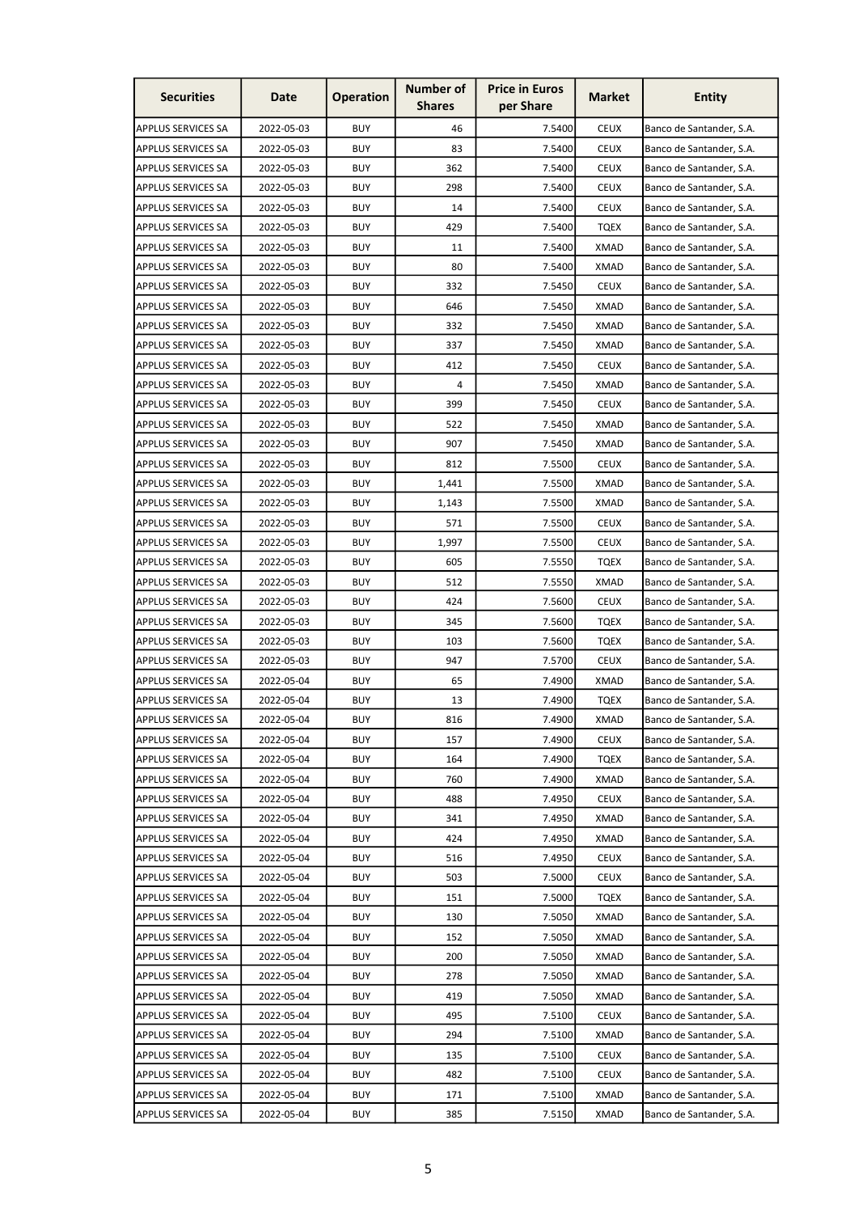| <b>Securities</b>         | Date       | <b>Operation</b> | <b>Number of</b><br><b>Shares</b> | <b>Price in Euros</b><br>per Share | <b>Market</b> | <b>Entity</b>            |
|---------------------------|------------|------------------|-----------------------------------|------------------------------------|---------------|--------------------------|
| APPLUS SERVICES SA        | 2022-05-03 | <b>BUY</b>       | 46                                | 7.5400                             | <b>CEUX</b>   | Banco de Santander, S.A. |
| APPLUS SERVICES SA        | 2022-05-03 | <b>BUY</b>       | 83                                | 7.5400                             | <b>CEUX</b>   | Banco de Santander, S.A. |
| APPLUS SERVICES SA        | 2022-05-03 | <b>BUY</b>       | 362                               | 7.5400                             | <b>CEUX</b>   | Banco de Santander, S.A. |
| APPLUS SERVICES SA        | 2022-05-03 | <b>BUY</b>       | 298                               | 7.5400                             | <b>CEUX</b>   | Banco de Santander, S.A. |
| APPLUS SERVICES SA        | 2022-05-03 | <b>BUY</b>       | 14                                | 7.5400                             | <b>CEUX</b>   | Banco de Santander, S.A. |
| <b>APPLUS SERVICES SA</b> | 2022-05-03 | <b>BUY</b>       | 429                               | 7.5400                             | <b>TQEX</b>   | Banco de Santander, S.A. |
| APPLUS SERVICES SA        | 2022-05-03 | <b>BUY</b>       | 11                                | 7.5400                             | XMAD          | Banco de Santander, S.A. |
| <b>APPLUS SERVICES SA</b> | 2022-05-03 | <b>BUY</b>       | 80                                | 7.5400                             | XMAD          | Banco de Santander, S.A. |
| APPLUS SERVICES SA        | 2022-05-03 | BUY              | 332                               | 7.5450                             | <b>CEUX</b>   | Banco de Santander, S.A. |
| APPLUS SERVICES SA        | 2022-05-03 | BUY              | 646                               | 7.5450                             | <b>XMAD</b>   | Banco de Santander, S.A. |
| <b>APPLUS SERVICES SA</b> | 2022-05-03 | BUY              | 332                               | 7.5450                             | <b>XMAD</b>   | Banco de Santander, S.A. |
| APPLUS SERVICES SA        | 2022-05-03 | <b>BUY</b>       | 337                               | 7.5450                             | <b>XMAD</b>   | Banco de Santander, S.A. |
| APPLUS SERVICES SA        | 2022-05-03 | <b>BUY</b>       | 412                               | 7.5450                             | <b>CEUX</b>   | Banco de Santander, S.A. |
| APPLUS SERVICES SA        | 2022-05-03 | <b>BUY</b>       | 4                                 | 7.5450                             | XMAD          | Banco de Santander, S.A. |
| <b>APPLUS SERVICES SA</b> | 2022-05-03 | <b>BUY</b>       | 399                               | 7.5450                             | <b>CEUX</b>   | Banco de Santander, S.A. |
| APPLUS SERVICES SA        | 2022-05-03 | <b>BUY</b>       | 522                               | 7.5450                             | XMAD          | Banco de Santander, S.A. |
| <b>APPLUS SERVICES SA</b> | 2022-05-03 | <b>BUY</b>       | 907                               | 7.5450                             | <b>XMAD</b>   | Banco de Santander, S.A. |
| <b>APPLUS SERVICES SA</b> | 2022-05-03 | <b>BUY</b>       | 812                               | 7.5500                             | <b>CEUX</b>   | Banco de Santander, S.A. |
| <b>APPLUS SERVICES SA</b> | 2022-05-03 | <b>BUY</b>       | 1,441                             | 7.5500                             | XMAD          | Banco de Santander, S.A. |
| APPLUS SERVICES SA        | 2022-05-03 | <b>BUY</b>       | 1,143                             | 7.5500                             | <b>XMAD</b>   | Banco de Santander, S.A. |
| APPLUS SERVICES SA        | 2022-05-03 | <b>BUY</b>       | 571                               | 7.5500                             | <b>CEUX</b>   | Banco de Santander, S.A. |
| <b>APPLUS SERVICES SA</b> | 2022-05-03 | <b>BUY</b>       | 1,997                             | 7.5500                             | <b>CEUX</b>   | Banco de Santander, S.A. |
| APPLUS SERVICES SA        | 2022-05-03 | <b>BUY</b>       | 605                               | 7.5550                             | <b>TQEX</b>   | Banco de Santander, S.A. |
| APPLUS SERVICES SA        | 2022-05-03 | BUY              | 512                               | 7.5550                             | <b>XMAD</b>   | Banco de Santander, S.A. |
| APPLUS SERVICES SA        | 2022-05-03 | <b>BUY</b>       | 424                               | 7.5600                             | <b>CEUX</b>   | Banco de Santander, S.A. |
| <b>APPLUS SERVICES SA</b> | 2022-05-03 | BUY              | 345                               | 7.5600                             | <b>TQEX</b>   | Banco de Santander, S.A. |
| APPLUS SERVICES SA        | 2022-05-03 | BUY              | 103                               | 7.5600                             | <b>TQEX</b>   | Banco de Santander, S.A. |
| APPLUS SERVICES SA        | 2022-05-03 | <b>BUY</b>       | 947                               | 7.5700                             | <b>CEUX</b>   | Banco de Santander, S.A. |
| APPLUS SERVICES SA        | 2022-05-04 | <b>BUY</b>       | 65                                | 7.4900                             | <b>XMAD</b>   | Banco de Santander, S.A. |
| <b>APPLUS SERVICES SA</b> | 2022-05-04 | <b>BUY</b>       | 13                                | 7.4900                             | <b>TQEX</b>   | Banco de Santander, S.A. |
| APPLUS SERVICES SA        | 2022-05-04 | <b>BUY</b>       | 816                               | 7.4900                             | <b>XMAD</b>   | Banco de Santander, S.A. |
| APPLUS SERVICES SA        | 2022-05-04 | <b>BUY</b>       | 157                               | 7.4900                             | <b>CEUX</b>   | Banco de Santander, S.A. |
| APPLUS SERVICES SA        | 2022-05-04 | BUY              | 164                               | 7.4900                             | TQEX          | Banco de Santander, S.A. |
| <b>APPLUS SERVICES SA</b> | 2022-05-04 | BUY              | 760                               | 7.4900                             | XMAD          | Banco de Santander, S.A. |
| APPLUS SERVICES SA        | 2022-05-04 | BUY              | 488                               | 7.4950                             | <b>CEUX</b>   | Banco de Santander, S.A. |
| <b>APPLUS SERVICES SA</b> | 2022-05-04 | BUY              | 341                               | 7.4950                             | <b>XMAD</b>   | Banco de Santander, S.A. |
| APPLUS SERVICES SA        | 2022-05-04 | BUY              | 424                               | 7.4950                             | <b>XMAD</b>   | Banco de Santander, S.A. |
| <b>APPLUS SERVICES SA</b> | 2022-05-04 | BUY              | 516                               | 7.4950                             | <b>CEUX</b>   | Banco de Santander, S.A. |
| <b>APPLUS SERVICES SA</b> | 2022-05-04 | <b>BUY</b>       | 503                               | 7.5000                             | <b>CEUX</b>   | Banco de Santander, S.A. |
| APPLUS SERVICES SA        | 2022-05-04 | BUY              | 151                               | 7.5000                             | TQEX          | Banco de Santander, S.A. |
| APPLUS SERVICES SA        | 2022-05-04 | BUY              | 130                               | 7.5050                             | XMAD          | Banco de Santander, S.A. |
| <b>APPLUS SERVICES SA</b> | 2022-05-04 | BUY              | 152                               | 7.5050                             | XMAD          | Banco de Santander, S.A. |
| APPLUS SERVICES SA        | 2022-05-04 | <b>BUY</b>       | 200                               | 7.5050                             | <b>XMAD</b>   | Banco de Santander, S.A. |
| APPLUS SERVICES SA        | 2022-05-04 | BUY              | 278                               | 7.5050                             | XMAD          | Banco de Santander, S.A. |
| <b>APPLUS SERVICES SA</b> | 2022-05-04 | BUY              | 419                               | 7.5050                             | <b>XMAD</b>   | Banco de Santander, S.A. |
| APPLUS SERVICES SA        | 2022-05-04 | <b>BUY</b>       | 495                               | 7.5100                             | <b>CEUX</b>   | Banco de Santander, S.A. |
| <b>APPLUS SERVICES SA</b> | 2022-05-04 | BUY              | 294                               | 7.5100                             | <b>XMAD</b>   | Banco de Santander, S.A. |
| APPLUS SERVICES SA        | 2022-05-04 | BUY              | 135                               | 7.5100                             | <b>CEUX</b>   | Banco de Santander, S.A. |
| <b>APPLUS SERVICES SA</b> | 2022-05-04 | BUY              | 482                               | 7.5100                             | <b>CEUX</b>   | Banco de Santander, S.A. |
| APPLUS SERVICES SA        | 2022-05-04 | BUY              | 171                               | 7.5100                             | XMAD          | Banco de Santander, S.A. |
| <b>APPLUS SERVICES SA</b> | 2022-05-04 | BUY              | 385                               | 7.5150                             | XMAD          | Banco de Santander, S.A. |
|                           |            |                  |                                   |                                    |               |                          |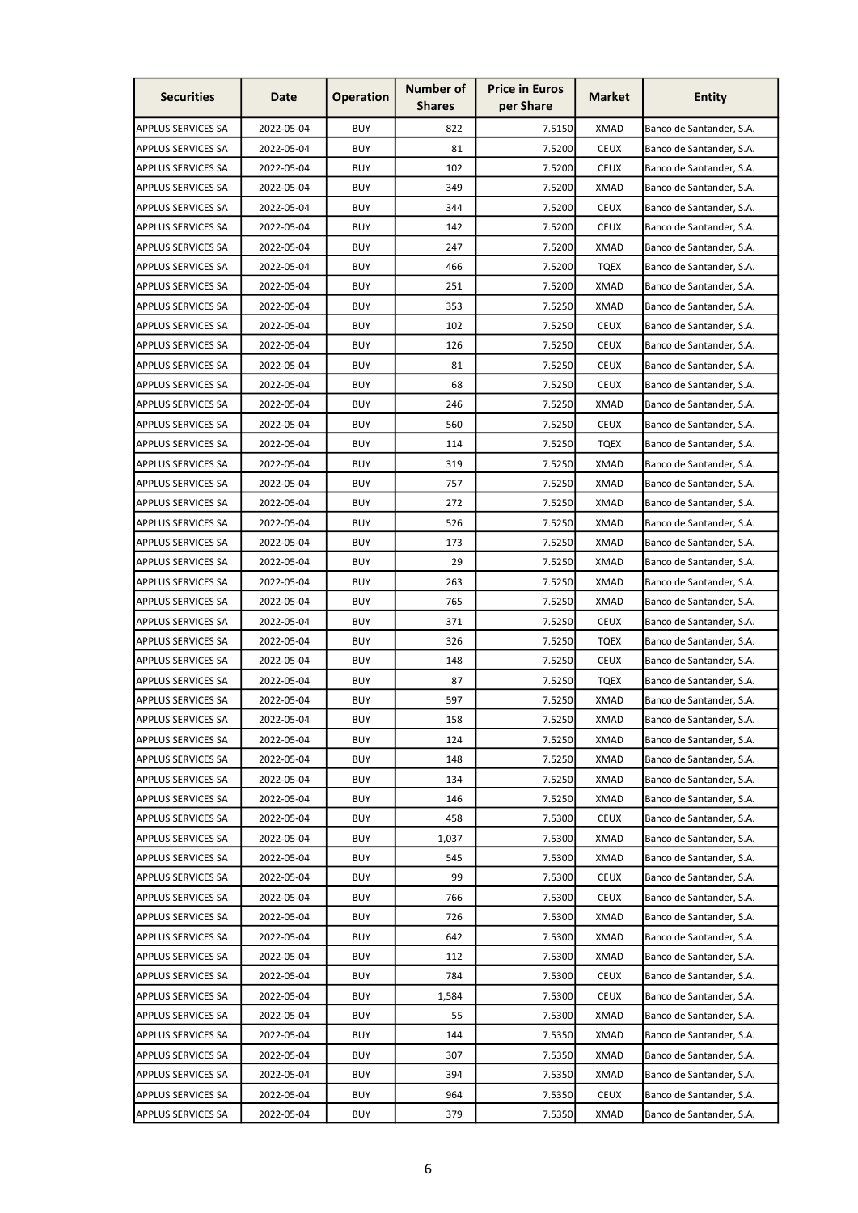| <b>Securities</b>         | Date       | <b>Operation</b> | Number of<br><b>Shares</b> | <b>Price in Euros</b><br>per Share | <b>Market</b> | <b>Entity</b>            |
|---------------------------|------------|------------------|----------------------------|------------------------------------|---------------|--------------------------|
| APPLUS SERVICES SA        | 2022-05-04 | <b>BUY</b>       | 822                        | 7.5150                             | XMAD          | Banco de Santander, S.A. |
| APPLUS SERVICES SA        | 2022-05-04 | <b>BUY</b>       | 81                         | 7.5200                             | <b>CEUX</b>   | Banco de Santander, S.A. |
| APPLUS SERVICES SA        | 2022-05-04 | <b>BUY</b>       | 102                        | 7.5200                             | <b>CEUX</b>   | Banco de Santander, S.A. |
| APPLUS SERVICES SA        | 2022-05-04 | <b>BUY</b>       | 349                        | 7.5200                             | <b>XMAD</b>   | Banco de Santander, S.A. |
| APPLUS SERVICES SA        | 2022-05-04 | <b>BUY</b>       | 344                        | 7.5200                             | <b>CEUX</b>   | Banco de Santander, S.A. |
| <b>APPLUS SERVICES SA</b> | 2022-05-04 | <b>BUY</b>       | 142                        | 7.5200                             | <b>CEUX</b>   | Banco de Santander, S.A. |
| APPLUS SERVICES SA        | 2022-05-04 | <b>BUY</b>       | 247                        | 7.5200                             | <b>XMAD</b>   | Banco de Santander, S.A. |
| <b>APPLUS SERVICES SA</b> | 2022-05-04 | <b>BUY</b>       | 466                        | 7.5200                             | <b>TQEX</b>   | Banco de Santander, S.A. |
| APPLUS SERVICES SA        | 2022-05-04 | <b>BUY</b>       | 251                        | 7.5200                             | <b>XMAD</b>   | Banco de Santander, S.A. |
| APPLUS SERVICES SA        | 2022-05-04 | <b>BUY</b>       | 353                        | 7.5250                             | <b>XMAD</b>   | Banco de Santander, S.A. |
| <b>APPLUS SERVICES SA</b> | 2022-05-04 | <b>BUY</b>       | 102                        | 7.5250                             | <b>CEUX</b>   | Banco de Santander, S.A. |
| APPLUS SERVICES SA        | 2022-05-04 | <b>BUY</b>       | 126                        | 7.5250                             | <b>CEUX</b>   | Banco de Santander, S.A. |
| APPLUS SERVICES SA        | 2022-05-04 | <b>BUY</b>       | 81                         | 7.5250                             | <b>CEUX</b>   | Banco de Santander, S.A. |
| APPLUS SERVICES SA        | 2022-05-04 | BUY              | 68                         | 7.5250                             | <b>CEUX</b>   | Banco de Santander, S.A. |
| <b>APPLUS SERVICES SA</b> | 2022-05-04 | <b>BUY</b>       | 246                        | 7.5250                             | XMAD          | Banco de Santander, S.A. |
| APPLUS SERVICES SA        | 2022-05-04 | <b>BUY</b>       | 560                        | 7.5250                             | <b>CEUX</b>   | Banco de Santander, S.A. |
| APPLUS SERVICES SA        | 2022-05-04 | <b>BUY</b>       | 114                        | 7.5250                             | <b>TQEX</b>   | Banco de Santander, S.A. |
| <b>APPLUS SERVICES SA</b> | 2022-05-04 | <b>BUY</b>       | 319                        | 7.5250                             | <b>XMAD</b>   | Banco de Santander, S.A. |
| <b>APPLUS SERVICES SA</b> | 2022-05-04 | <b>BUY</b>       | 757                        | 7.5250                             | XMAD          | Banco de Santander, S.A. |
| APPLUS SERVICES SA        | 2022-05-04 | <b>BUY</b>       | 272                        | 7.5250                             | <b>XMAD</b>   | Banco de Santander, S.A. |
| APPLUS SERVICES SA        | 2022-05-04 | <b>BUY</b>       | 526                        | 7.5250                             | <b>XMAD</b>   | Banco de Santander, S.A. |
| <b>APPLUS SERVICES SA</b> | 2022-05-04 | <b>BUY</b>       | 173                        | 7.5250                             | <b>XMAD</b>   | Banco de Santander, S.A. |
| APPLUS SERVICES SA        | 2022-05-04 | <b>BUY</b>       | 29                         | 7.5250                             | <b>XMAD</b>   | Banco de Santander, S.A. |
| APPLUS SERVICES SA        | 2022-05-04 | <b>BUY</b>       | 263                        | 7.5250                             | XMAD          | Banco de Santander, S.A. |
| <b>APPLUS SERVICES SA</b> | 2022-05-04 | <b>BUY</b>       | 765                        | 7.5250                             | <b>XMAD</b>   | Banco de Santander, S.A. |
| <b>APPLUS SERVICES SA</b> | 2022-05-04 | <b>BUY</b>       | 371                        | 7.5250                             | <b>CEUX</b>   | Banco de Santander, S.A. |
| APPLUS SERVICES SA        | 2022-05-04 | <b>BUY</b>       | 326                        | 7.5250                             | <b>TQEX</b>   | Banco de Santander, S.A. |
| APPLUS SERVICES SA        | 2022-05-04 | <b>BUY</b>       | 148                        | 7.5250                             | <b>CEUX</b>   | Banco de Santander, S.A. |
| APPLUS SERVICES SA        | 2022-05-04 | <b>BUY</b>       | 87                         | 7.5250                             | TQEX          | Banco de Santander, S.A. |
| <b>APPLUS SERVICES SA</b> | 2022-05-04 | <b>BUY</b>       | 597                        | 7.5250                             | <b>XMAD</b>   | Banco de Santander, S.A. |
| <b>APPLUS SERVICES SA</b> | 2022-05-04 | <b>BUY</b>       | 158                        | 7.5250                             | <b>XMAD</b>   | Banco de Santander, S.A. |
| APPLUS SERVICES SA        | 2022-05-04 | <b>BUY</b>       | 124                        | 7.5250                             | <b>XMAD</b>   | Banco de Santander, S.A. |
| APPLUS SERVICES SA        | 2022-05-04 | <b>BUY</b>       | 148                        | 7.5250                             | XMAD          | Banco de Santander, S.A. |
| APPLUS SERVICES SA        | 2022-05-04 | <b>BUY</b>       | 134                        | 7.5250                             | <b>XMAD</b>   | Banco de Santander, S.A. |
| APPLUS SERVICES SA        | 2022-05-04 | <b>BUY</b>       | 146                        | 7.5250                             | <b>XMAD</b>   | Banco de Santander, S.A. |
| <b>APPLUS SERVICES SA</b> | 2022-05-04 | <b>BUY</b>       | 458                        | 7.5300                             | <b>CEUX</b>   | Banco de Santander, S.A. |
| APPLUS SERVICES SA        | 2022-05-04 | <b>BUY</b>       | 1,037                      | 7.5300                             | <b>XMAD</b>   | Banco de Santander, S.A. |
| <b>APPLUS SERVICES SA</b> | 2022-05-04 | <b>BUY</b>       | 545                        | 7.5300                             | <b>XMAD</b>   | Banco de Santander, S.A. |
| APPLUS SERVICES SA        | 2022-05-04 | <b>BUY</b>       | 99                         | 7.5300                             | <b>CEUX</b>   | Banco de Santander, S.A. |
| APPLUS SERVICES SA        | 2022-05-04 | <b>BUY</b>       | 766                        | 7.5300                             | <b>CEUX</b>   | Banco de Santander, S.A. |
| APPLUS SERVICES SA        | 2022-05-04 | <b>BUY</b>       | 726                        | 7.5300                             | XMAD          | Banco de Santander, S.A. |
| <b>APPLUS SERVICES SA</b> | 2022-05-04 | <b>BUY</b>       | 642                        | 7.5300                             | <b>XMAD</b>   | Banco de Santander, S.A. |
| APPLUS SERVICES SA        | 2022-05-04 | <b>BUY</b>       | 112                        | 7.5300                             | <b>XMAD</b>   | Banco de Santander, S.A. |
| APPLUS SERVICES SA        | 2022-05-04 | <b>BUY</b>       | 784                        | 7.5300                             | <b>CEUX</b>   | Banco de Santander, S.A. |
| <b>APPLUS SERVICES SA</b> | 2022-05-04 | <b>BUY</b>       | 1,584                      | 7.5300                             | <b>CEUX</b>   | Banco de Santander, S.A. |
| APPLUS SERVICES SA        | 2022-05-04 | <b>BUY</b>       | 55                         | 7.5300                             | <b>XMAD</b>   | Banco de Santander, S.A. |
| APPLUS SERVICES SA        | 2022-05-04 | <b>BUY</b>       | 144                        | 7.5350                             | <b>XMAD</b>   | Banco de Santander, S.A. |
| APPLUS SERVICES SA        | 2022-05-04 | <b>BUY</b>       | 307                        | 7.5350                             | <b>XMAD</b>   | Banco de Santander, S.A. |
| <b>APPLUS SERVICES SA</b> | 2022-05-04 | <b>BUY</b>       | 394                        | 7.5350                             | <b>XMAD</b>   | Banco de Santander, S.A. |
| APPLUS SERVICES SA        | 2022-05-04 | <b>BUY</b>       | 964                        | 7.5350                             | <b>CEUX</b>   | Banco de Santander, S.A. |
| <b>APPLUS SERVICES SA</b> | 2022-05-04 | BUY              | 379                        | 7.5350                             | XMAD          | Banco de Santander, S.A. |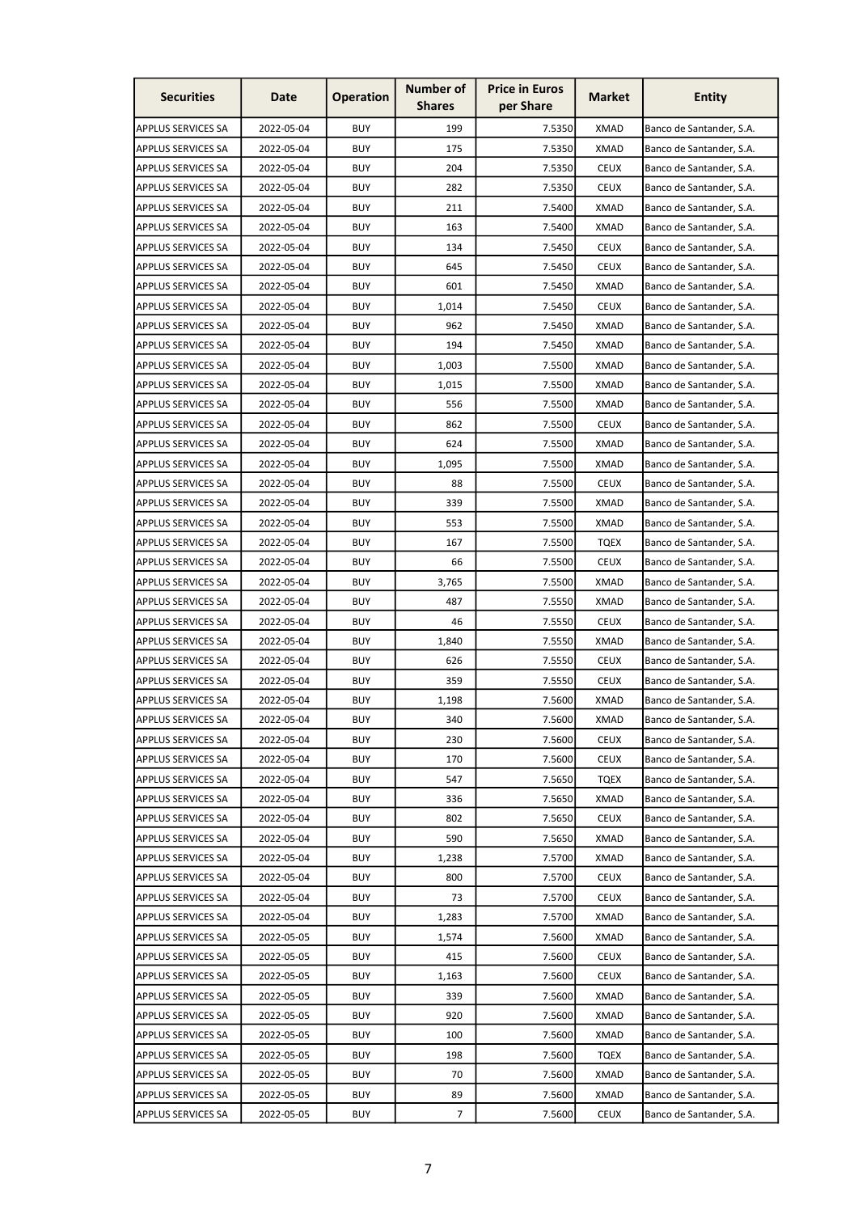| <b>Securities</b>         | Date       | <b>Operation</b> | <b>Number of</b><br><b>Shares</b> | <b>Price in Euros</b><br>per Share | <b>Market</b> | <b>Entity</b>            |
|---------------------------|------------|------------------|-----------------------------------|------------------------------------|---------------|--------------------------|
| APPLUS SERVICES SA        | 2022-05-04 | <b>BUY</b>       | 199                               | 7.5350                             | <b>XMAD</b>   | Banco de Santander, S.A. |
| APPLUS SERVICES SA        | 2022-05-04 | <b>BUY</b>       | 175                               | 7.5350                             | <b>XMAD</b>   | Banco de Santander, S.A. |
| APPLUS SERVICES SA        | 2022-05-04 | <b>BUY</b>       | 204                               | 7.5350                             | <b>CEUX</b>   | Banco de Santander, S.A. |
| APPLUS SERVICES SA        | 2022-05-04 | <b>BUY</b>       | 282                               | 7.5350                             | <b>CEUX</b>   | Banco de Santander, S.A. |
| APPLUS SERVICES SA        | 2022-05-04 | <b>BUY</b>       | 211                               | 7.5400                             | <b>XMAD</b>   | Banco de Santander, S.A. |
| <b>APPLUS SERVICES SA</b> | 2022-05-04 | <b>BUY</b>       | 163                               | 7.5400                             | <b>XMAD</b>   | Banco de Santander, S.A. |
| APPLUS SERVICES SA        | 2022-05-04 | <b>BUY</b>       | 134                               | 7.5450                             | <b>CEUX</b>   | Banco de Santander, S.A. |
| <b>APPLUS SERVICES SA</b> | 2022-05-04 | <b>BUY</b>       | 645                               | 7.5450                             | <b>CEUX</b>   | Banco de Santander, S.A. |
| APPLUS SERVICES SA        | 2022-05-04 | BUY              | 601                               | 7.5450                             | XMAD          | Banco de Santander, S.A. |
| APPLUS SERVICES SA        | 2022-05-04 | BUY              | 1,014                             | 7.5450                             | <b>CEUX</b>   | Banco de Santander, S.A. |
| <b>APPLUS SERVICES SA</b> | 2022-05-04 | BUY              | 962                               | 7.5450                             | <b>XMAD</b>   | Banco de Santander, S.A. |
| APPLUS SERVICES SA        | 2022-05-04 | <b>BUY</b>       | 194                               | 7.5450                             | <b>XMAD</b>   | Banco de Santander, S.A. |
| APPLUS SERVICES SA        | 2022-05-04 | <b>BUY</b>       | 1,003                             | 7.5500                             | <b>XMAD</b>   | Banco de Santander, S.A. |
| APPLUS SERVICES SA        | 2022-05-04 | <b>BUY</b>       | 1,015                             | 7.5500                             | <b>XMAD</b>   | Banco de Santander, S.A. |
| <b>APPLUS SERVICES SA</b> | 2022-05-04 | <b>BUY</b>       | 556                               | 7.5500                             | XMAD          | Banco de Santander, S.A. |
| APPLUS SERVICES SA        | 2022-05-04 | <b>BUY</b>       | 862                               | 7.5500                             | <b>CEUX</b>   | Banco de Santander, S.A. |
| APPLUS SERVICES SA        | 2022-05-04 | <b>BUY</b>       | 624                               | 7.5500                             | <b>XMAD</b>   | Banco de Santander, S.A. |
| <b>APPLUS SERVICES SA</b> | 2022-05-04 | <b>BUY</b>       | 1,095                             | 7.5500                             | <b>XMAD</b>   | Banco de Santander, S.A. |
| <b>APPLUS SERVICES SA</b> | 2022-05-04 | <b>BUY</b>       | 88                                | 7.5500                             | <b>CEUX</b>   | Banco de Santander, S.A. |
| APPLUS SERVICES SA        | 2022-05-04 | <b>BUY</b>       | 339                               | 7.5500                             | <b>XMAD</b>   | Banco de Santander, S.A. |
| APPLUS SERVICES SA        | 2022-05-04 | <b>BUY</b>       | 553                               | 7.5500                             | <b>XMAD</b>   | Banco de Santander, S.A. |
| <b>APPLUS SERVICES SA</b> | 2022-05-04 | <b>BUY</b>       | 167                               | 7.5500                             | <b>TQEX</b>   | Banco de Santander, S.A. |
| APPLUS SERVICES SA        | 2022-05-04 | <b>BUY</b>       | 66                                | 7.5500                             | <b>CEUX</b>   | Banco de Santander, S.A. |
| APPLUS SERVICES SA        | 2022-05-04 | BUY              | 3,765                             | 7.5500                             | <b>XMAD</b>   | Banco de Santander, S.A. |
| APPLUS SERVICES SA        | 2022-05-04 | <b>BUY</b>       | 487                               | 7.5550                             | <b>XMAD</b>   | Banco de Santander, S.A. |
| <b>APPLUS SERVICES SA</b> | 2022-05-04 | BUY              | 46                                | 7.5550                             | <b>CEUX</b>   | Banco de Santander, S.A. |
| APPLUS SERVICES SA        | 2022-05-04 | BUY              | 1,840                             | 7.5550                             | XMAD          | Banco de Santander, S.A. |
| APPLUS SERVICES SA        | 2022-05-04 | <b>BUY</b>       | 626                               | 7.5550                             | <b>CEUX</b>   | Banco de Santander, S.A. |
| APPLUS SERVICES SA        | 2022-05-04 | <b>BUY</b>       | 359                               | 7.5550                             | <b>CEUX</b>   | Banco de Santander, S.A. |
| <b>APPLUS SERVICES SA</b> | 2022-05-04 | BUY              | 1,198                             | 7.5600                             | XMAD          | Banco de Santander, S.A. |
| <b>APPLUS SERVICES SA</b> | 2022-05-04 | <b>BUY</b>       | 340                               | 7.5600                             | <b>XMAD</b>   | Banco de Santander, S.A. |
| APPLUS SERVICES SA        | 2022-05-04 | <b>BUY</b>       | 230                               | 7.5600                             | <b>CEUX</b>   | Banco de Santander, S.A. |
| APPLUS SERVICES SA        | 2022-05-04 | BUY              | 170                               | 7.5600                             | CEUX          | Banco de Santander, S.A. |
| APPLUS SERVICES SA        | 2022-05-04 | BUY              | 547                               | 7.5650                             | <b>TQEX</b>   | Banco de Santander, S.A. |
| <b>APPLUS SERVICES SA</b> | 2022-05-04 | <b>BUY</b>       | 336                               | 7.5650                             | <b>XMAD</b>   | Banco de Santander, S.A. |
| <b>APPLUS SERVICES SA</b> | 2022-05-04 | BUY              | 802                               | 7.5650                             | <b>CEUX</b>   | Banco de Santander, S.A. |
| APPLUS SERVICES SA        | 2022-05-04 | BUY              | 590                               | 7.5650                             | <b>XMAD</b>   | Banco de Santander, S.A. |
| <b>APPLUS SERVICES SA</b> | 2022-05-04 | BUY              | 1,238                             | 7.5700                             | XMAD          | Banco de Santander, S.A. |
| APPLUS SERVICES SA        | 2022-05-04 | <b>BUY</b>       | 800                               | 7.5700                             | <b>CEUX</b>   | Banco de Santander, S.A. |
| APPLUS SERVICES SA        | 2022-05-04 | BUY              | 73                                | 7.5700                             | <b>CEUX</b>   | Banco de Santander, S.A. |
| APPLUS SERVICES SA        | 2022-05-04 | BUY              | 1,283                             | 7.5700                             | XMAD          | Banco de Santander, S.A. |
| <b>APPLUS SERVICES SA</b> | 2022-05-05 | BUY              | 1,574                             | 7.5600                             | XMAD          | Banco de Santander, S.A. |
| APPLUS SERVICES SA        | 2022-05-05 | <b>BUY</b>       | 415                               | 7.5600                             | <b>CEUX</b>   | Banco de Santander, S.A. |
| APPLUS SERVICES SA        | 2022-05-05 | BUY              | 1,163                             | 7.5600                             | <b>CEUX</b>   | Banco de Santander, S.A. |
| <b>APPLUS SERVICES SA</b> | 2022-05-05 | BUY              | 339                               | 7.5600                             | <b>XMAD</b>   | Banco de Santander, S.A. |
| APPLUS SERVICES SA        | 2022-05-05 | <b>BUY</b>       | 920                               | 7.5600                             | <b>XMAD</b>   | Banco de Santander, S.A. |
| <b>APPLUS SERVICES SA</b> | 2022-05-05 | <b>BUY</b>       | 100                               | 7.5600                             | <b>XMAD</b>   | Banco de Santander, S.A. |
| APPLUS SERVICES SA        | 2022-05-05 | BUY              | 198                               | 7.5600                             | <b>TQEX</b>   | Banco de Santander, S.A. |
| <b>APPLUS SERVICES SA</b> | 2022-05-05 | BUY              | 70                                | 7.5600                             | <b>XMAD</b>   | Banco de Santander, S.A. |
| APPLUS SERVICES SA        | 2022-05-05 | <b>BUY</b>       | 89                                | 7.5600                             | <b>XMAD</b>   | Banco de Santander, S.A. |
| APPLUS SERVICES SA        | 2022-05-05 | BUY              | 7                                 | 7.5600                             | <b>CEUX</b>   | Banco de Santander, S.A. |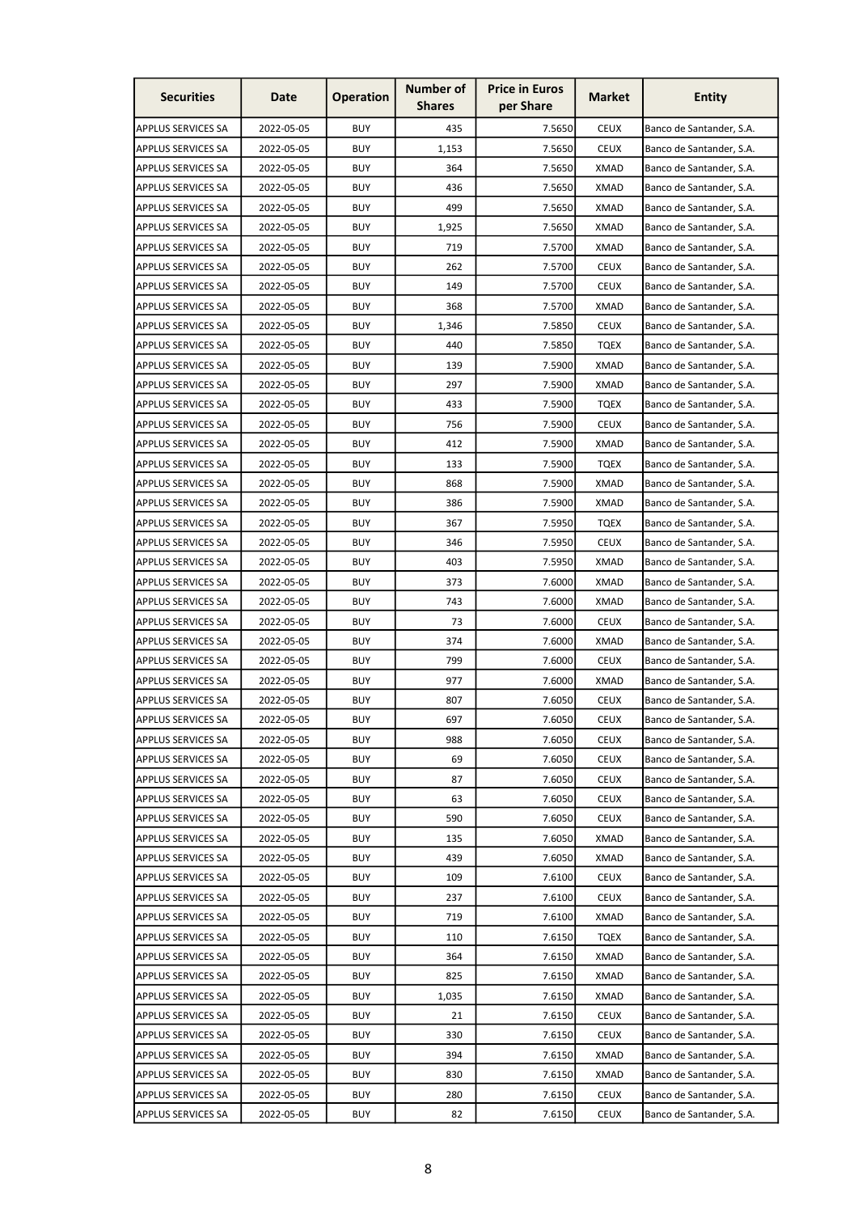| <b>Securities</b>         | Date       | <b>Operation</b> | <b>Number of</b><br><b>Shares</b> | <b>Price in Euros</b><br>per Share | <b>Market</b> | <b>Entity</b>            |
|---------------------------|------------|------------------|-----------------------------------|------------------------------------|---------------|--------------------------|
| <b>APPLUS SERVICES SA</b> | 2022-05-05 | <b>BUY</b>       | 435                               | 7.5650                             | <b>CEUX</b>   | Banco de Santander, S.A. |
| APPLUS SERVICES SA        | 2022-05-05 | <b>BUY</b>       | 1,153                             | 7.5650                             | <b>CEUX</b>   | Banco de Santander, S.A. |
| APPLUS SERVICES SA        | 2022-05-05 | BUY              | 364                               | 7.5650                             | <b>XMAD</b>   | Banco de Santander, S.A. |
| APPLUS SERVICES SA        | 2022-05-05 | <b>BUY</b>       | 436                               | 7.5650                             | <b>XMAD</b>   | Banco de Santander, S.A. |
| APPLUS SERVICES SA        | 2022-05-05 | <b>BUY</b>       | 499                               | 7.5650                             | <b>XMAD</b>   | Banco de Santander, S.A. |
| <b>APPLUS SERVICES SA</b> | 2022-05-05 | <b>BUY</b>       | 1,925                             | 7.5650                             | <b>XMAD</b>   | Banco de Santander, S.A. |
| APPLUS SERVICES SA        | 2022-05-05 | <b>BUY</b>       | 719                               | 7.5700                             | XMAD          | Banco de Santander, S.A. |
| <b>APPLUS SERVICES SA</b> | 2022-05-05 | <b>BUY</b>       | 262                               | 7.5700                             | <b>CEUX</b>   | Banco de Santander, S.A. |
| APPLUS SERVICES SA        | 2022-05-05 | BUY              | 149                               | 7.5700                             | <b>CEUX</b>   | Banco de Santander, S.A. |
| APPLUS SERVICES SA        | 2022-05-05 | BUY              | 368                               | 7.5700                             | <b>XMAD</b>   | Banco de Santander, S.A. |
| <b>APPLUS SERVICES SA</b> | 2022-05-05 | BUY              | 1,346                             | 7.5850                             | <b>CEUX</b>   | Banco de Santander, S.A. |
| APPLUS SERVICES SA        | 2022-05-05 | <b>BUY</b>       | 440                               | 7.5850                             | <b>TQEX</b>   | Banco de Santander, S.A. |
| APPLUS SERVICES SA        | 2022-05-05 | <b>BUY</b>       | 139                               | 7.5900                             | <b>XMAD</b>   | Banco de Santander, S.A. |
| APPLUS SERVICES SA        | 2022-05-05 | <b>BUY</b>       | 297                               | 7.5900                             | XMAD          | Banco de Santander, S.A. |
| <b>APPLUS SERVICES SA</b> | 2022-05-05 | <b>BUY</b>       | 433                               | 7.5900                             | <b>TQEX</b>   | Banco de Santander, S.A. |
| APPLUS SERVICES SA        | 2022-05-05 | <b>BUY</b>       | 756                               | 7.5900                             | <b>CEUX</b>   | Banco de Santander, S.A. |
| <b>APPLUS SERVICES SA</b> | 2022-05-05 | <b>BUY</b>       | 412                               | 7.5900                             | <b>XMAD</b>   | Banco de Santander, S.A. |
| <b>APPLUS SERVICES SA</b> | 2022-05-05 | <b>BUY</b>       | 133                               | 7.5900                             | <b>TQEX</b>   | Banco de Santander, S.A. |
| <b>APPLUS SERVICES SA</b> | 2022-05-05 | <b>BUY</b>       | 868                               | 7.5900                             | XMAD          | Banco de Santander, S.A. |
| APPLUS SERVICES SA        | 2022-05-05 | <b>BUY</b>       | 386                               | 7.5900                             | <b>XMAD</b>   | Banco de Santander, S.A. |
| APPLUS SERVICES SA        | 2022-05-05 | <b>BUY</b>       | 367                               | 7.5950                             | <b>TQEX</b>   | Banco de Santander, S.A. |
| <b>APPLUS SERVICES SA</b> | 2022-05-05 | <b>BUY</b>       | 346                               | 7.5950                             | <b>CEUX</b>   | Banco de Santander, S.A. |
| APPLUS SERVICES SA        | 2022-05-05 | <b>BUY</b>       | 403                               | 7.5950                             | XMAD          | Banco de Santander, S.A. |
| APPLUS SERVICES SA        | 2022-05-05 | BUY              | 373                               | 7.6000                             | <b>XMAD</b>   | Banco de Santander, S.A. |
| APPLUS SERVICES SA        | 2022-05-05 | <b>BUY</b>       | 743                               | 7.6000                             | <b>XMAD</b>   | Banco de Santander, S.A. |
| <b>APPLUS SERVICES SA</b> | 2022-05-05 | BUY              | 73                                | 7.6000                             | <b>CEUX</b>   | Banco de Santander, S.A. |
| APPLUS SERVICES SA        | 2022-05-05 | BUY              | 374                               | 7.6000                             | XMAD          | Banco de Santander, S.A. |
| APPLUS SERVICES SA        | 2022-05-05 | <b>BUY</b>       | 799                               | 7.6000                             | <b>CEUX</b>   | Banco de Santander, S.A. |
| APPLUS SERVICES SA        | 2022-05-05 | <b>BUY</b>       | 977                               | 7.6000                             | <b>XMAD</b>   | Banco de Santander, S.A. |
| <b>APPLUS SERVICES SA</b> | 2022-05-05 | <b>BUY</b>       | 807                               | 7.6050                             | <b>CEUX</b>   | Banco de Santander, S.A. |
| <b>APPLUS SERVICES SA</b> | 2022-05-05 | <b>BUY</b>       | 697                               | 7.6050                             | <b>CEUX</b>   | Banco de Santander, S.A. |
| APPLUS SERVICES SA        | 2022-05-05 | <b>BUY</b>       | 988                               | 7.6050                             | <b>CEUX</b>   | Banco de Santander, S.A. |
| APPLUS SERVICES SA        | 2022-05-05 | BUY              | 69                                | 7.6050                             | <b>CEUX</b>   | Banco de Santander, S.A. |
| APPLUS SERVICES SA        | 2022-05-05 | BUY              | 87                                | 7.6050                             | <b>CEUX</b>   | Banco de Santander, S.A. |
| APPLUS SERVICES SA        | 2022-05-05 | BUY              | 63                                | 7.6050                             | <b>CEUX</b>   | Banco de Santander, S.A. |
| <b>APPLUS SERVICES SA</b> | 2022-05-05 | BUY              | 590                               | 7.6050                             | <b>CEUX</b>   | Banco de Santander, S.A. |
| APPLUS SERVICES SA        | 2022-05-05 | BUY              | 135                               | 7.6050                             | <b>XMAD</b>   | Banco de Santander, S.A. |
| <b>APPLUS SERVICES SA</b> | 2022-05-05 | BUY              | 439                               | 7.6050                             | XMAD          | Banco de Santander, S.A. |
| APPLUS SERVICES SA        | 2022-05-05 | <b>BUY</b>       | 109                               | 7.6100                             | <b>CEUX</b>   | Banco de Santander, S.A. |
| <b>APPLUS SERVICES SA</b> | 2022-05-05 | BUY              | 237                               | 7.6100                             | <b>CEUX</b>   | Banco de Santander, S.A. |
| APPLUS SERVICES SA        | 2022-05-05 | BUY              | 719                               | 7.6100                             | XMAD          | Banco de Santander, S.A. |
| <b>APPLUS SERVICES SA</b> | 2022-05-05 | BUY              | 110                               | 7.6150                             | <b>TQEX</b>   | Banco de Santander, S.A. |
| APPLUS SERVICES SA        | 2022-05-05 | <b>BUY</b>       | 364                               | 7.6150                             | <b>XMAD</b>   | Banco de Santander, S.A. |
| APPLUS SERVICES SA        | 2022-05-05 | BUY              | 825                               | 7.6150                             | <b>XMAD</b>   | Banco de Santander, S.A. |
| <b>APPLUS SERVICES SA</b> | 2022-05-05 | BUY              | 1,035                             | 7.6150                             | <b>XMAD</b>   | Banco de Santander, S.A. |
| APPLUS SERVICES SA        | 2022-05-05 | <b>BUY</b>       | 21                                | 7.6150                             | <b>CEUX</b>   | Banco de Santander, S.A. |
| <b>APPLUS SERVICES SA</b> | 2022-05-05 | <b>BUY</b>       | 330                               | 7.6150                             | <b>CEUX</b>   | Banco de Santander, S.A. |
| APPLUS SERVICES SA        | 2022-05-05 | BUY              | 394                               | 7.6150                             | XMAD          | Banco de Santander, S.A. |
| <b>APPLUS SERVICES SA</b> | 2022-05-05 | BUY              | 830                               | 7.6150                             | <b>XMAD</b>   | Banco de Santander, S.A. |
| APPLUS SERVICES SA        | 2022-05-05 | <b>BUY</b>       | 280                               | 7.6150                             | <b>CEUX</b>   | Banco de Santander, S.A. |
| <b>APPLUS SERVICES SA</b> | 2022-05-05 | BUY              | 82                                | 7.6150                             | CEUX          | Banco de Santander, S.A. |
|                           |            |                  |                                   |                                    |               |                          |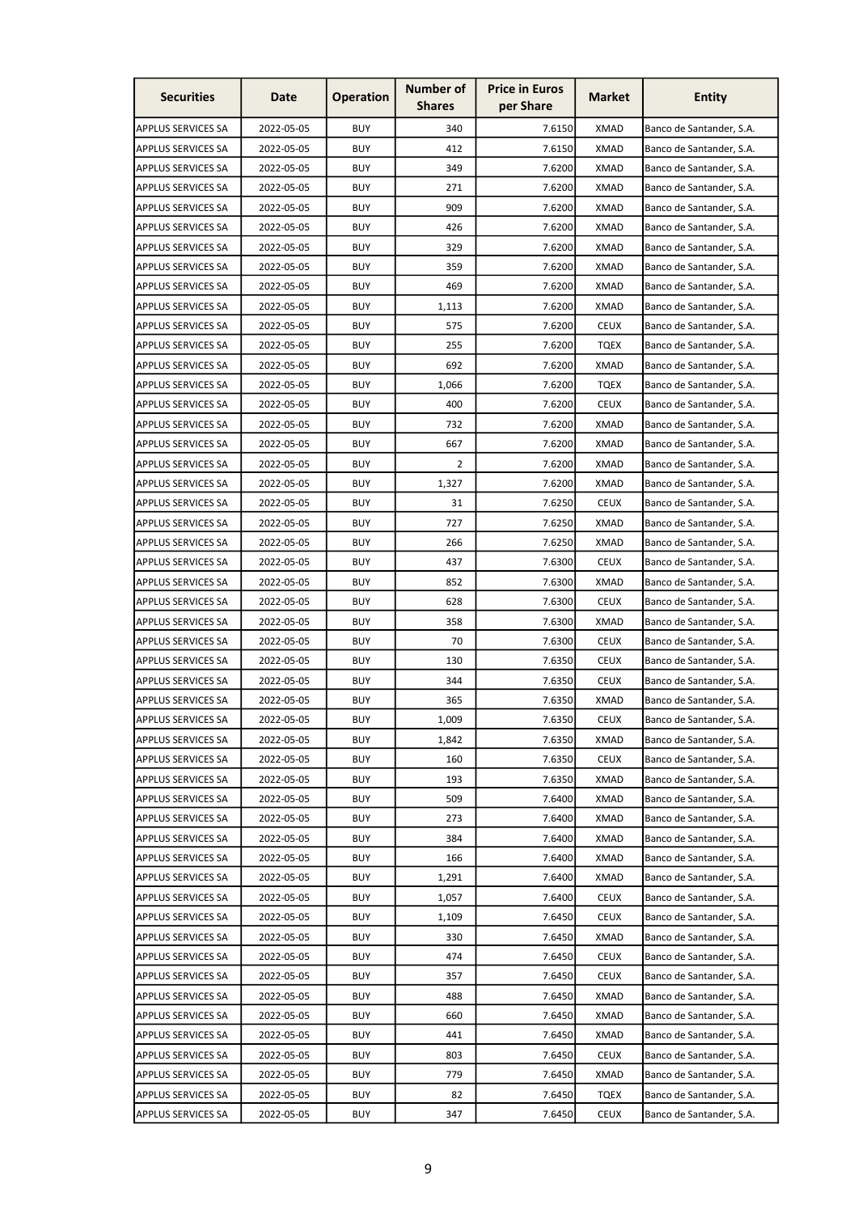| <b>Securities</b>         | Date       | <b>Operation</b> | <b>Number of</b><br><b>Shares</b> | <b>Price in Euros</b><br>per Share | <b>Market</b> | <b>Entity</b>            |
|---------------------------|------------|------------------|-----------------------------------|------------------------------------|---------------|--------------------------|
| <b>APPLUS SERVICES SA</b> | 2022-05-05 | <b>BUY</b>       | 340                               | 7.6150                             | <b>XMAD</b>   | Banco de Santander, S.A. |
| APPLUS SERVICES SA        | 2022-05-05 | <b>BUY</b>       | 412                               | 7.6150                             | <b>XMAD</b>   | Banco de Santander, S.A. |
| APPLUS SERVICES SA        | 2022-05-05 | <b>BUY</b>       | 349                               | 7.6200                             | XMAD          | Banco de Santander, S.A. |
| APPLUS SERVICES SA        | 2022-05-05 | <b>BUY</b>       | 271                               | 7.6200                             | <b>XMAD</b>   | Banco de Santander, S.A. |
| APPLUS SERVICES SA        | 2022-05-05 | <b>BUY</b>       | 909                               | 7.6200                             | <b>XMAD</b>   | Banco de Santander, S.A. |
| <b>APPLUS SERVICES SA</b> | 2022-05-05 | <b>BUY</b>       | 426                               | 7.6200                             | <b>XMAD</b>   | Banco de Santander, S.A. |
| APPLUS SERVICES SA        | 2022-05-05 | <b>BUY</b>       | 329                               | 7.6200                             | <b>XMAD</b>   | Banco de Santander, S.A. |
| <b>APPLUS SERVICES SA</b> | 2022-05-05 | <b>BUY</b>       | 359                               | 7.6200                             | XMAD          | Banco de Santander, S.A. |
| APPLUS SERVICES SA        | 2022-05-05 | BUY              | 469                               | 7.6200                             | <b>XMAD</b>   | Banco de Santander, S.A. |
| APPLUS SERVICES SA        | 2022-05-05 | BUY              | 1,113                             | 7.6200                             | <b>XMAD</b>   | Banco de Santander, S.A. |
| <b>APPLUS SERVICES SA</b> | 2022-05-05 | BUY              | 575                               | 7.6200                             | <b>CEUX</b>   | Banco de Santander, S.A. |
| APPLUS SERVICES SA        | 2022-05-05 | <b>BUY</b>       | 255                               | 7.6200                             | <b>TQEX</b>   | Banco de Santander, S.A. |
| APPLUS SERVICES SA        | 2022-05-05 | <b>BUY</b>       | 692                               | 7.6200                             | <b>XMAD</b>   | Banco de Santander, S.A. |
| APPLUS SERVICES SA        | 2022-05-05 | <b>BUY</b>       | 1,066                             | 7.6200                             | <b>TQEX</b>   | Banco de Santander, S.A. |
| <b>APPLUS SERVICES SA</b> | 2022-05-05 | <b>BUY</b>       | 400                               | 7.6200                             | <b>CEUX</b>   | Banco de Santander, S.A. |
| APPLUS SERVICES SA        | 2022-05-05 | <b>BUY</b>       | 732                               | 7.6200                             | XMAD          | Banco de Santander, S.A. |
| APPLUS SERVICES SA        | 2022-05-05 | <b>BUY</b>       | 667                               | 7.6200                             | <b>XMAD</b>   | Banco de Santander, S.A. |
| <b>APPLUS SERVICES SA</b> | 2022-05-05 | <b>BUY</b>       | 2                                 | 7.6200                             | <b>XMAD</b>   | Banco de Santander, S.A. |
| <b>APPLUS SERVICES SA</b> | 2022-05-05 | <b>BUY</b>       | 1,327                             | 7.6200                             | XMAD          | Banco de Santander, S.A. |
| APPLUS SERVICES SA        | 2022-05-05 | <b>BUY</b>       | 31                                | 7.6250                             | <b>CEUX</b>   | Banco de Santander, S.A. |
| APPLUS SERVICES SA        | 2022-05-05 | <b>BUY</b>       | 727                               | 7.6250                             | <b>XMAD</b>   | Banco de Santander, S.A. |
| <b>APPLUS SERVICES SA</b> | 2022-05-05 | <b>BUY</b>       | 266                               | 7.6250                             | XMAD          | Banco de Santander, S.A. |
| APPLUS SERVICES SA        | 2022-05-05 | <b>BUY</b>       | 437                               | 7.6300                             | <b>CEUX</b>   | Banco de Santander, S.A. |
| APPLUS SERVICES SA        | 2022-05-05 | BUY              | 852                               | 7.6300                             | <b>XMAD</b>   | Banco de Santander, S.A. |
| APPLUS SERVICES SA        | 2022-05-05 | <b>BUY</b>       | 628                               | 7.6300                             | <b>CEUX</b>   | Banco de Santander, S.A. |
| <b>APPLUS SERVICES SA</b> | 2022-05-05 | BUY              | 358                               | 7.6300                             | XMAD          | Banco de Santander, S.A. |
| APPLUS SERVICES SA        | 2022-05-05 | BUY              | 70                                | 7.6300                             | <b>CEUX</b>   | Banco de Santander, S.A. |
| APPLUS SERVICES SA        | 2022-05-05 | <b>BUY</b>       | 130                               | 7.6350                             | <b>CEUX</b>   | Banco de Santander, S.A. |
| APPLUS SERVICES SA        | 2022-05-05 | <b>BUY</b>       | 344                               | 7.6350                             | <b>CEUX</b>   | Banco de Santander, S.A. |
| <b>APPLUS SERVICES SA</b> | 2022-05-05 | <b>BUY</b>       | 365                               | 7.6350                             | XMAD          | Banco de Santander, S.A. |
| <b>APPLUS SERVICES SA</b> | 2022-05-05 | <b>BUY</b>       | 1,009                             | 7.6350                             | <b>CEUX</b>   | Banco de Santander, S.A. |
| APPLUS SERVICES SA        | 2022-05-05 | <b>BUY</b>       | 1,842                             | 7.6350                             | <b>XMAD</b>   | Banco de Santander, S.A. |
| APPLUS SERVICES SA        | 2022-05-05 | BUY              | 160                               | 7.6350                             | <b>CEUX</b>   | Banco de Santander, S.A. |
| APPLUS SERVICES SA        | 2022-05-05 | BUY              | 193                               | 7.6350                             | XMAD          | Banco de Santander, S.A. |
| APPLUS SERVICES SA        | 2022-05-05 | BUY              | 509                               | 7.6400                             | <b>XMAD</b>   | Banco de Santander, S.A. |
| <b>APPLUS SERVICES SA</b> | 2022-05-05 | BUY              | 273                               | 7.6400                             | <b>XMAD</b>   | Banco de Santander, S.A. |
| APPLUS SERVICES SA        | 2022-05-05 | BUY              | 384                               | 7.6400                             | <b>XMAD</b>   | Banco de Santander, S.A. |
| <b>APPLUS SERVICES SA</b> | 2022-05-05 | BUY              | 166                               | 7.6400                             | <b>XMAD</b>   | Banco de Santander, S.A. |
| APPLUS SERVICES SA        | 2022-05-05 | <b>BUY</b>       | 1,291                             | 7.6400                             | <b>XMAD</b>   | Banco de Santander, S.A. |
| APPLUS SERVICES SA        | 2022-05-05 | BUY              | 1,057                             | 7.6400                             | <b>CEUX</b>   | Banco de Santander, S.A. |
| APPLUS SERVICES SA        | 2022-05-05 | BUY              | 1,109                             | 7.6450                             | <b>CEUX</b>   | Banco de Santander, S.A. |
| <b>APPLUS SERVICES SA</b> | 2022-05-05 | BUY              | 330                               | 7.6450                             | XMAD          | Banco de Santander, S.A. |
| APPLUS SERVICES SA        | 2022-05-05 | <b>BUY</b>       | 474                               | 7.6450                             | <b>CEUX</b>   | Banco de Santander, S.A. |
| APPLUS SERVICES SA        | 2022-05-05 | BUY              | 357                               | 7.6450                             | <b>CEUX</b>   | Banco de Santander, S.A. |
| <b>APPLUS SERVICES SA</b> | 2022-05-05 | BUY              | 488                               | 7.6450                             | XMAD          | Banco de Santander, S.A. |
| APPLUS SERVICES SA        | 2022-05-05 | <b>BUY</b>       | 660                               | 7.6450                             | <b>XMAD</b>   | Banco de Santander, S.A. |
| <b>APPLUS SERVICES SA</b> | 2022-05-05 | <b>BUY</b>       | 441                               | 7.6450                             | <b>XMAD</b>   | Banco de Santander, S.A. |
| APPLUS SERVICES SA        | 2022-05-05 | BUY              | 803                               | 7.6450                             | <b>CEUX</b>   | Banco de Santander, S.A. |
| <b>APPLUS SERVICES SA</b> | 2022-05-05 | BUY              | 779                               | 7.6450                             | <b>XMAD</b>   | Banco de Santander, S.A. |
| APPLUS SERVICES SA        | 2022-05-05 | <b>BUY</b>       | 82                                | 7.6450                             | <b>TQEX</b>   | Banco de Santander, S.A. |
| <b>APPLUS SERVICES SA</b> | 2022-05-05 | BUY              | 347                               | 7.6450                             | <b>CEUX</b>   | Banco de Santander, S.A. |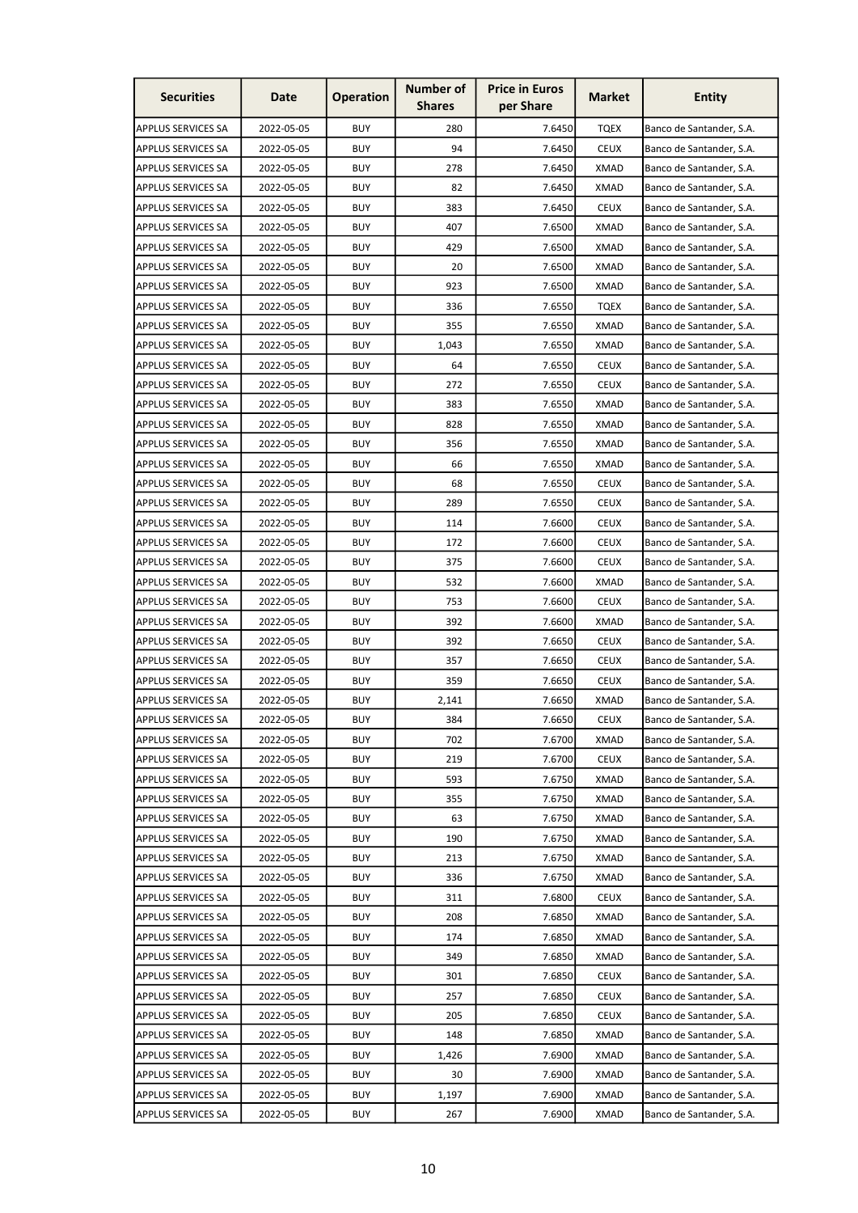| <b>Securities</b>         | Date       | <b>Operation</b> | <b>Number of</b><br><b>Shares</b> | <b>Price in Euros</b><br>per Share | <b>Market</b> | <b>Entity</b>            |
|---------------------------|------------|------------------|-----------------------------------|------------------------------------|---------------|--------------------------|
| APPLUS SERVICES SA        | 2022-05-05 | <b>BUY</b>       | 280                               | 7.6450                             | <b>TQEX</b>   | Banco de Santander, S.A. |
| APPLUS SERVICES SA        | 2022-05-05 | <b>BUY</b>       | 94                                | 7.6450                             | <b>CEUX</b>   | Banco de Santander, S.A. |
| APPLUS SERVICES SA        | 2022-05-05 | BUY              | 278                               | 7.6450                             | <b>XMAD</b>   | Banco de Santander, S.A. |
| APPLUS SERVICES SA        | 2022-05-05 | <b>BUY</b>       | 82                                | 7.6450                             | <b>XMAD</b>   | Banco de Santander, S.A. |
| APPLUS SERVICES SA        | 2022-05-05 | <b>BUY</b>       | 383                               | 7.6450                             | <b>CEUX</b>   | Banco de Santander, S.A. |
| <b>APPLUS SERVICES SA</b> | 2022-05-05 | <b>BUY</b>       | 407                               | 7.6500                             | <b>XMAD</b>   | Banco de Santander, S.A. |
| APPLUS SERVICES SA        | 2022-05-05 | <b>BUY</b>       | 429                               | 7.6500                             | <b>XMAD</b>   | Banco de Santander, S.A. |
| <b>APPLUS SERVICES SA</b> | 2022-05-05 | BUY              | 20                                | 7.6500                             | XMAD          | Banco de Santander, S.A. |
| APPLUS SERVICES SA        | 2022-05-05 | BUY              | 923                               | 7.6500                             | <b>XMAD</b>   | Banco de Santander, S.A. |
| APPLUS SERVICES SA        | 2022-05-05 | BUY              | 336                               | 7.6550                             | <b>TQEX</b>   | Banco de Santander, S.A. |
| <b>APPLUS SERVICES SA</b> | 2022-05-05 | BUY              | 355                               | 7.6550                             | <b>XMAD</b>   | Banco de Santander, S.A. |
| APPLUS SERVICES SA        | 2022-05-05 | <b>BUY</b>       | 1,043                             | 7.6550                             | <b>XMAD</b>   | Banco de Santander, S.A. |
| APPLUS SERVICES SA        | 2022-05-05 | <b>BUY</b>       | 64                                | 7.6550                             | <b>CEUX</b>   | Banco de Santander, S.A. |
| APPLUS SERVICES SA        | 2022-05-05 | <b>BUY</b>       | 272                               | 7.6550                             | <b>CEUX</b>   | Banco de Santander, S.A. |
| <b>APPLUS SERVICES SA</b> | 2022-05-05 | <b>BUY</b>       | 383                               | 7.6550                             | XMAD          | Banco de Santander, S.A. |
| APPLUS SERVICES SA        | 2022-05-05 | <b>BUY</b>       | 828                               | 7.6550                             | <b>XMAD</b>   | Banco de Santander, S.A. |
| APPLUS SERVICES SA        | 2022-05-05 | <b>BUY</b>       | 356                               | 7.6550                             | <b>XMAD</b>   | Banco de Santander, S.A. |
| <b>APPLUS SERVICES SA</b> | 2022-05-05 | <b>BUY</b>       | 66                                | 7.6550                             | <b>XMAD</b>   | Banco de Santander, S.A. |
| <b>APPLUS SERVICES SA</b> | 2022-05-05 | <b>BUY</b>       | 68                                | 7.6550                             | <b>CEUX</b>   | Banco de Santander, S.A. |
| APPLUS SERVICES SA        | 2022-05-05 | <b>BUY</b>       | 289                               | 7.6550                             | <b>CEUX</b>   | Banco de Santander, S.A. |
| APPLUS SERVICES SA        | 2022-05-05 | <b>BUY</b>       | 114                               | 7.6600                             | <b>CEUX</b>   | Banco de Santander, S.A. |
| <b>APPLUS SERVICES SA</b> | 2022-05-05 | <b>BUY</b>       | 172                               | 7.6600                             | <b>CEUX</b>   | Banco de Santander, S.A. |
| APPLUS SERVICES SA        | 2022-05-05 | <b>BUY</b>       | 375                               | 7.6600                             | <b>CEUX</b>   | Banco de Santander, S.A. |
| APPLUS SERVICES SA        | 2022-05-05 | BUY              | 532                               | 7.6600                             | <b>XMAD</b>   | Banco de Santander, S.A. |
| <b>APPLUS SERVICES SA</b> | 2022-05-05 | <b>BUY</b>       | 753                               | 7.6600                             | <b>CEUX</b>   | Banco de Santander, S.A. |
| <b>APPLUS SERVICES SA</b> | 2022-05-05 | BUY              | 392                               | 7.6600                             | XMAD          | Banco de Santander, S.A. |
| APPLUS SERVICES SA        | 2022-05-05 | BUY              | 392                               | 7.6650                             | <b>CEUX</b>   | Banco de Santander, S.A. |
| APPLUS SERVICES SA        | 2022-05-05 | <b>BUY</b>       | 357                               | 7.6650                             | <b>CEUX</b>   | Banco de Santander, S.A. |
| <b>APPLUS SERVICES SA</b> | 2022-05-05 | <b>BUY</b>       | 359                               | 7.6650                             | <b>CEUX</b>   | Banco de Santander, S.A. |
| <b>APPLUS SERVICES SA</b> | 2022-05-05 | <b>BUY</b>       | 2,141                             | 7.6650                             | XMAD          | Banco de Santander, S.A. |
| <b>APPLUS SERVICES SA</b> | 2022-05-05 | <b>BUY</b>       | 384                               | 7.6650                             | <b>CEUX</b>   | Banco de Santander, S.A. |
| APPLUS SERVICES SA        | 2022-05-05 | <b>BUY</b>       | 702                               | 7.6700                             | <b>XMAD</b>   | Banco de Santander, S.A. |
| APPLUS SERVICES SA        | 2022-05-05 | BUY              | 219                               | 7.6700                             | <b>CEUX</b>   | Banco de Santander, S.A. |
| APPLUS SERVICES SA        | 2022-05-05 | BUY              | 593                               | 7.6750                             | XMAD          | Banco de Santander, S.A. |
| APPLUS SERVICES SA        | 2022-05-05 | BUY              | 355                               | 7.6750                             | <b>XMAD</b>   | Banco de Santander, S.A. |
| <b>APPLUS SERVICES SA</b> | 2022-05-05 | BUY              | 63                                | 7.6750                             | XMAD          | Banco de Santander, S.A. |
| APPLUS SERVICES SA        | 2022-05-05 | BUY              | 190                               | 7.6750                             | <b>XMAD</b>   | Banco de Santander, S.A. |
| <b>APPLUS SERVICES SA</b> | 2022-05-05 | BUY              | 213                               | 7.6750                             | <b>XMAD</b>   | Banco de Santander, S.A. |
| APPLUS SERVICES SA        | 2022-05-05 | <b>BUY</b>       | 336                               | 7.6750                             | XMAD          | Banco de Santander, S.A. |
| APPLUS SERVICES SA        | 2022-05-05 | BUY              | 311                               | 7.6800                             | <b>CEUX</b>   | Banco de Santander, S.A. |
| APPLUS SERVICES SA        | 2022-05-05 | BUY              | 208                               | 7.6850                             | XMAD          | Banco de Santander, S.A. |
| <b>APPLUS SERVICES SA</b> | 2022-05-05 | BUY              | 174                               | 7.6850                             | XMAD          | Banco de Santander, S.A. |
| APPLUS SERVICES SA        | 2022-05-05 | <b>BUY</b>       | 349                               | 7.6850                             | <b>XMAD</b>   | Banco de Santander, S.A. |
| APPLUS SERVICES SA        | 2022-05-05 | BUY              | 301                               | 7.6850                             | <b>CEUX</b>   | Banco de Santander, S.A. |
| <b>APPLUS SERVICES SA</b> | 2022-05-05 | BUY              | 257                               | 7.6850                             | CEUX          | Banco de Santander, S.A. |
| APPLUS SERVICES SA        | 2022-05-05 | <b>BUY</b>       | 205                               | 7.6850                             | <b>CEUX</b>   | Banco de Santander, S.A. |
| <b>APPLUS SERVICES SA</b> | 2022-05-05 | BUY              | 148                               | 7.6850                             | XMAD          | Banco de Santander, S.A. |
| APPLUS SERVICES SA        | 2022-05-05 | BUY              | 1,426                             | 7.6900                             | XMAD          | Banco de Santander, S.A. |
| <b>APPLUS SERVICES SA</b> | 2022-05-05 | BUY              | 30                                | 7.6900                             | <b>XMAD</b>   | Banco de Santander, S.A. |
| APPLUS SERVICES SA        | 2022-05-05 | <b>BUY</b>       | 1,197                             | 7.6900                             | <b>XMAD</b>   | Banco de Santander, S.A. |
| <b>APPLUS SERVICES SA</b> | 2022-05-05 | BUY              | 267                               | 7.6900                             | XMAD          | Banco de Santander, S.A. |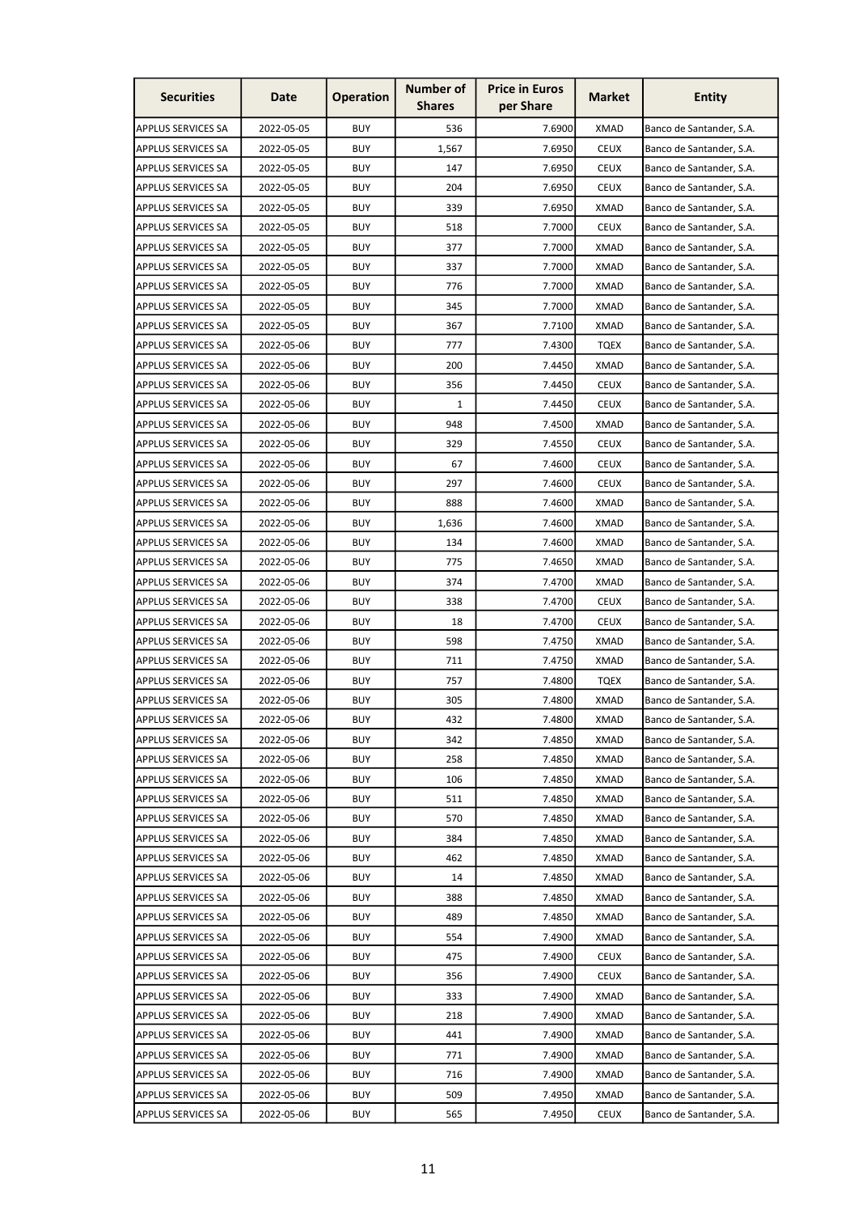| <b>Securities</b>         | Date       | <b>Operation</b> | <b>Number of</b><br><b>Shares</b> | <b>Price in Euros</b><br>per Share | <b>Market</b> | <b>Entity</b>            |
|---------------------------|------------|------------------|-----------------------------------|------------------------------------|---------------|--------------------------|
| <b>APPLUS SERVICES SA</b> | 2022-05-05 | <b>BUY</b>       | 536                               | 7.6900                             | <b>XMAD</b>   | Banco de Santander, S.A. |
| APPLUS SERVICES SA        | 2022-05-05 | <b>BUY</b>       | 1,567                             | 7.6950                             | <b>CEUX</b>   | Banco de Santander, S.A. |
| APPLUS SERVICES SA        | 2022-05-05 | BUY              | 147                               | 7.6950                             | <b>CEUX</b>   | Banco de Santander, S.A. |
| APPLUS SERVICES SA        | 2022-05-05 | <b>BUY</b>       | 204                               | 7.6950                             | <b>CEUX</b>   | Banco de Santander, S.A. |
| APPLUS SERVICES SA        | 2022-05-05 | <b>BUY</b>       | 339                               | 7.6950                             | <b>XMAD</b>   | Banco de Santander, S.A. |
| <b>APPLUS SERVICES SA</b> | 2022-05-05 | <b>BUY</b>       | 518                               | 7.7000                             | <b>CEUX</b>   | Banco de Santander, S.A. |
| APPLUS SERVICES SA        | 2022-05-05 | <b>BUY</b>       | 377                               | 7.7000                             | <b>XMAD</b>   | Banco de Santander, S.A. |
| <b>APPLUS SERVICES SA</b> | 2022-05-05 | <b>BUY</b>       | 337                               | 7.7000                             | <b>XMAD</b>   | Banco de Santander, S.A. |
| APPLUS SERVICES SA        | 2022-05-05 | BUY              | 776                               | 7.7000                             | <b>XMAD</b>   | Banco de Santander, S.A. |
| APPLUS SERVICES SA        | 2022-05-05 | BUY              | 345                               | 7.7000                             | <b>XMAD</b>   | Banco de Santander, S.A. |
| <b>APPLUS SERVICES SA</b> | 2022-05-05 | BUY              | 367                               | 7.7100                             | <b>XMAD</b>   | Banco de Santander, S.A. |
| APPLUS SERVICES SA        | 2022-05-06 | <b>BUY</b>       | 777                               | 7.4300                             | <b>TQEX</b>   | Banco de Santander, S.A. |
| APPLUS SERVICES SA        | 2022-05-06 | <b>BUY</b>       | 200                               | 7.4450                             | <b>XMAD</b>   | Banco de Santander, S.A. |
| APPLUS SERVICES SA        | 2022-05-06 | <b>BUY</b>       | 356                               | 7.4450                             | <b>CEUX</b>   | Banco de Santander, S.A. |
| <b>APPLUS SERVICES SA</b> | 2022-05-06 | <b>BUY</b>       | $\mathbf{1}$                      | 7.4450                             | <b>CEUX</b>   | Banco de Santander, S.A. |
| APPLUS SERVICES SA        | 2022-05-06 | <b>BUY</b>       | 948                               | 7.4500                             | <b>XMAD</b>   | Banco de Santander, S.A. |
| APPLUS SERVICES SA        | 2022-05-06 | <b>BUY</b>       | 329                               | 7.4550                             | <b>CEUX</b>   | Banco de Santander, S.A. |
| <b>APPLUS SERVICES SA</b> | 2022-05-06 | <b>BUY</b>       | 67                                | 7.4600                             | <b>CEUX</b>   | Banco de Santander, S.A. |
| <b>APPLUS SERVICES SA</b> | 2022-05-06 | <b>BUY</b>       | 297                               | 7.4600                             | <b>CEUX</b>   | Banco de Santander, S.A. |
| APPLUS SERVICES SA        | 2022-05-06 | <b>BUY</b>       | 888                               | 7.4600                             | <b>XMAD</b>   | Banco de Santander, S.A. |
| APPLUS SERVICES SA        | 2022-05-06 | <b>BUY</b>       | 1,636                             | 7.4600                             | <b>XMAD</b>   | Banco de Santander, S.A. |
| <b>APPLUS SERVICES SA</b> | 2022-05-06 | <b>BUY</b>       | 134                               | 7.4600                             | XMAD          | Banco de Santander, S.A. |
| APPLUS SERVICES SA        | 2022-05-06 | <b>BUY</b>       | 775                               | 7.4650                             | XMAD          | Banco de Santander, S.A. |
| APPLUS SERVICES SA        | 2022-05-06 | BUY              | 374                               | 7.4700                             | <b>XMAD</b>   | Banco de Santander, S.A. |
| <b>APPLUS SERVICES SA</b> | 2022-05-06 | <b>BUY</b>       | 338                               | 7.4700                             | <b>CEUX</b>   | Banco de Santander, S.A. |
| <b>APPLUS SERVICES SA</b> | 2022-05-06 | BUY              | 18                                | 7.4700                             | <b>CEUX</b>   | Banco de Santander, S.A. |
| APPLUS SERVICES SA        | 2022-05-06 | BUY              | 598                               | 7.4750                             | XMAD          | Banco de Santander, S.A. |
| APPLUS SERVICES SA        | 2022-05-06 | <b>BUY</b>       | 711                               | 7.4750                             | <b>XMAD</b>   | Banco de Santander, S.A. |
| APPLUS SERVICES SA        | 2022-05-06 | <b>BUY</b>       | 757                               | 7.4800                             | <b>TQEX</b>   | Banco de Santander, S.A. |
| <b>APPLUS SERVICES SA</b> | 2022-05-06 | <b>BUY</b>       | 305                               | 7.4800                             | XMAD          | Banco de Santander, S.A. |
| <b>APPLUS SERVICES SA</b> | 2022-05-06 | <b>BUY</b>       | 432                               | 7.4800                             | <b>XMAD</b>   | Banco de Santander, S.A. |
| APPLUS SERVICES SA        | 2022-05-06 | <b>BUY</b>       | 342                               | 7.4850                             | <b>XMAD</b>   | Banco de Santander, S.A. |
| APPLUS SERVICES SA        | 2022-05-06 | BUY              | 258                               | 7.4850                             | <b>XMAD</b>   | Banco de Santander, S.A. |
| APPLUS SERVICES SA        | 2022-05-06 | BUY              | 106                               | 7.4850                             | XMAD          | Banco de Santander, S.A. |
| APPLUS SERVICES SA        | 2022-05-06 | BUY              | 511                               | 7.4850                             | XMAD          | Banco de Santander, S.A. |
| <b>APPLUS SERVICES SA</b> | 2022-05-06 | BUY              | 570                               | 7.4850                             | <b>XMAD</b>   | Banco de Santander, S.A. |
| APPLUS SERVICES SA        | 2022-05-06 | BUY              | 384                               | 7.4850                             | XMAD          | Banco de Santander, S.A. |
| <b>APPLUS SERVICES SA</b> | 2022-05-06 | BUY              | 462                               | 7.4850                             | XMAD          | Banco de Santander, S.A. |
| APPLUS SERVICES SA        | 2022-05-06 | <b>BUY</b>       | 14                                | 7.4850                             | <b>XMAD</b>   | Banco de Santander, S.A. |
| APPLUS SERVICES SA        | 2022-05-06 | BUY              | 388                               | 7.4850                             | XMAD          | Banco de Santander, S.A. |
| APPLUS SERVICES SA        | 2022-05-06 | BUY              | 489                               | 7.4850                             | XMAD          | Banco de Santander, S.A. |
| <b>APPLUS SERVICES SA</b> | 2022-05-06 | BUY              | 554                               | 7.4900                             | XMAD          | Banco de Santander, S.A. |
| APPLUS SERVICES SA        | 2022-05-06 | <b>BUY</b>       | 475                               | 7.4900                             | <b>CEUX</b>   | Banco de Santander, S.A. |
| APPLUS SERVICES SA        | 2022-05-06 | BUY              | 356                               | 7.4900                             | <b>CEUX</b>   | Banco de Santander, S.A. |
| <b>APPLUS SERVICES SA</b> | 2022-05-06 | BUY              | 333                               | 7.4900                             | XMAD          | Banco de Santander, S.A. |
| APPLUS SERVICES SA        | 2022-05-06 | <b>BUY</b>       | 218                               | 7.4900                             | <b>XMAD</b>   | Banco de Santander, S.A. |
| <b>APPLUS SERVICES SA</b> | 2022-05-06 | BUY              | 441                               | 7.4900                             | XMAD          | Banco de Santander, S.A. |
| APPLUS SERVICES SA        | 2022-05-06 | BUY              | 771                               | 7.4900                             | XMAD          | Banco de Santander, S.A. |
| <b>APPLUS SERVICES SA</b> | 2022-05-06 | BUY              | 716                               | 7.4900                             | <b>XMAD</b>   | Banco de Santander, S.A. |
| APPLUS SERVICES SA        | 2022-05-06 | BUY              | 509                               | 7.4950                             | <b>XMAD</b>   | Banco de Santander, S.A. |
| <b>APPLUS SERVICES SA</b> | 2022-05-06 | BUY              | 565                               | 7.4950                             | CEUX          | Banco de Santander, S.A. |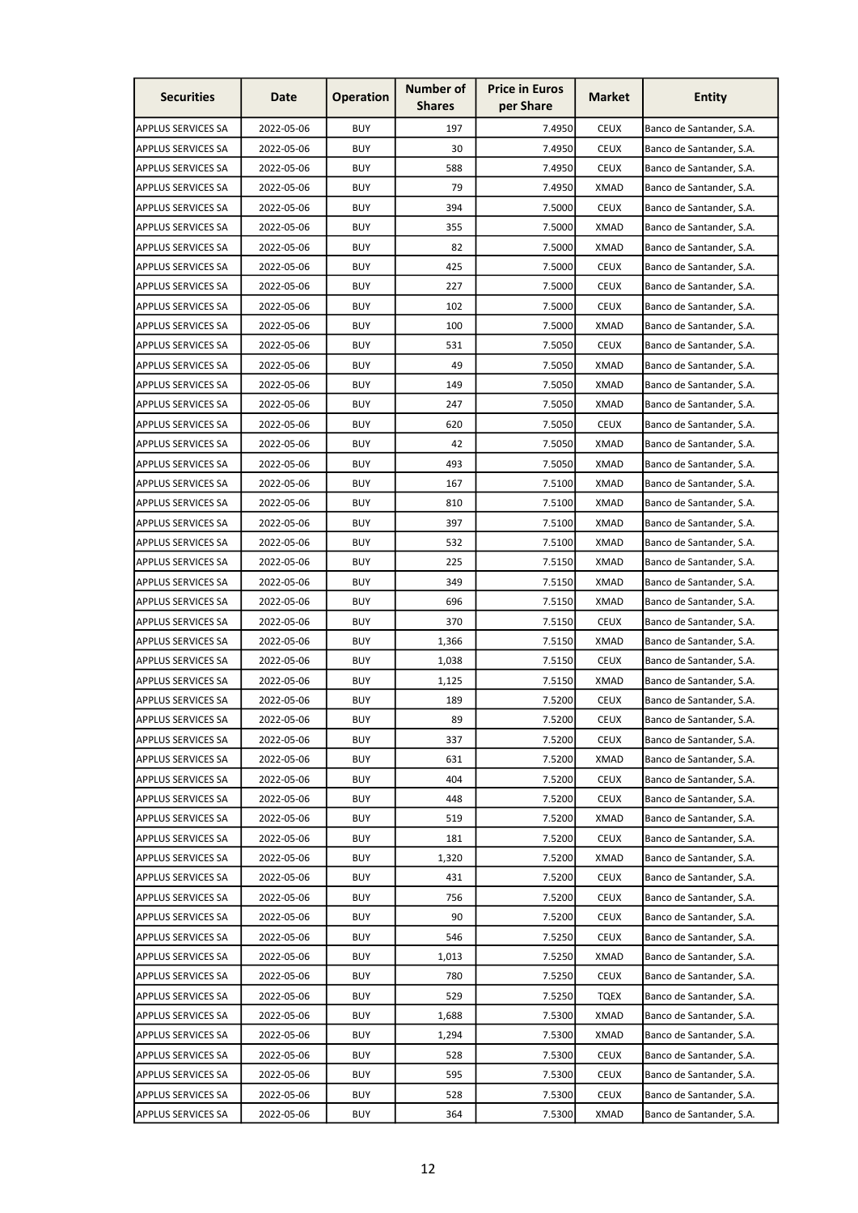| <b>Securities</b>         | Date       | <b>Operation</b> | <b>Number of</b><br><b>Shares</b> | <b>Price in Euros</b><br>per Share | <b>Market</b> | <b>Entity</b>            |
|---------------------------|------------|------------------|-----------------------------------|------------------------------------|---------------|--------------------------|
| APPLUS SERVICES SA        | 2022-05-06 | <b>BUY</b>       | 197                               | 7.4950                             | <b>CEUX</b>   | Banco de Santander, S.A. |
| APPLUS SERVICES SA        | 2022-05-06 | <b>BUY</b>       | 30                                | 7.4950                             | <b>CEUX</b>   | Banco de Santander, S.A. |
| APPLUS SERVICES SA        | 2022-05-06 | <b>BUY</b>       | 588                               | 7.4950                             | <b>CEUX</b>   | Banco de Santander, S.A. |
| <b>APPLUS SERVICES SA</b> | 2022-05-06 | <b>BUY</b>       | 79                                | 7.4950                             | <b>XMAD</b>   | Banco de Santander, S.A. |
| <b>APPLUS SERVICES SA</b> | 2022-05-06 | <b>BUY</b>       | 394                               | 7.5000                             | <b>CEUX</b>   | Banco de Santander, S.A. |
| APPLUS SERVICES SA        | 2022-05-06 | <b>BUY</b>       | 355                               | 7.5000                             | <b>XMAD</b>   | Banco de Santander, S.A. |
| <b>APPLUS SERVICES SA</b> | 2022-05-06 | <b>BUY</b>       | 82                                | 7.5000                             | <b>XMAD</b>   | Banco de Santander, S.A. |
| <b>APPLUS SERVICES SA</b> | 2022-05-06 | <b>BUY</b>       | 425                               | 7.5000                             | <b>CEUX</b>   | Banco de Santander, S.A. |
| APPLUS SERVICES SA        | 2022-05-06 | <b>BUY</b>       | 227                               | 7.5000                             | <b>CEUX</b>   | Banco de Santander, S.A. |
| APPLUS SERVICES SA        | 2022-05-06 | BUY              | 102                               | 7.5000                             | <b>CEUX</b>   | Banco de Santander, S.A. |
| <b>APPLUS SERVICES SA</b> | 2022-05-06 | <b>BUY</b>       | 100                               | 7.5000                             | <b>XMAD</b>   | Banco de Santander, S.A. |
| <b>APPLUS SERVICES SA</b> | 2022-05-06 | BUY              | 531                               | 7.5050                             | <b>CEUX</b>   | Banco de Santander, S.A. |
| APPLUS SERVICES SA        | 2022-05-06 | BUY              | 49                                | 7.5050                             | <b>XMAD</b>   | Banco de Santander, S.A. |
| APPLUS SERVICES SA        | 2022-05-06 | <b>BUY</b>       | 149                               | 7.5050                             | <b>XMAD</b>   | Banco de Santander, S.A. |
| APPLUS SERVICES SA        | 2022-05-06 | <b>BUY</b>       | 247                               | 7.5050                             | <b>XMAD</b>   | Banco de Santander, S.A. |
| APPLUS SERVICES SA        | 2022-05-06 | <b>BUY</b>       | 620                               | 7.5050                             | <b>CEUX</b>   | Banco de Santander, S.A. |
| <b>APPLUS SERVICES SA</b> | 2022-05-06 | <b>BUY</b>       | 42                                | 7.5050                             | <b>XMAD</b>   | Banco de Santander, S.A. |
| <b>APPLUS SERVICES SA</b> | 2022-05-06 | BUY              | 493                               | 7.5050                             | <b>XMAD</b>   | Banco de Santander, S.A. |
| <b>APPLUS SERVICES SA</b> | 2022-05-06 | <b>BUY</b>       | 167                               | 7.5100                             | <b>XMAD</b>   | Banco de Santander, S.A. |
| APPLUS SERVICES SA        | 2022-05-06 | BUY              | 810                               | 7.5100                             | <b>XMAD</b>   | Banco de Santander, S.A. |
| APPLUS SERVICES SA        | 2022-05-06 | BUY              | 397                               | 7.5100                             | XMAD          | Banco de Santander, S.A. |
| APPLUS SERVICES SA        | 2022-05-06 | <b>BUY</b>       | 532                               | 7.5100                             | XMAD          | Banco de Santander, S.A. |
| APPLUS SERVICES SA        | 2022-05-06 | <b>BUY</b>       | 225                               | 7.5150                             | XMAD          | Banco de Santander, S.A. |
| <b>APPLUS SERVICES SA</b> | 2022-05-06 | <b>BUY</b>       | 349                               | 7.5150                             | <b>XMAD</b>   | Banco de Santander, S.A. |
| APPLUS SERVICES SA        | 2022-05-06 | <b>BUY</b>       | 696                               | 7.5150                             | <b>XMAD</b>   | Banco de Santander, S.A. |
| <b>APPLUS SERVICES SA</b> | 2022-05-06 | BUY              | 370                               | 7.5150                             | <b>CEUX</b>   | Banco de Santander, S.A. |
| APPLUS SERVICES SA        | 2022-05-06 | BUY              | 1,366                             | 7.5150                             | XMAD          | Banco de Santander, S.A. |
| APPLUS SERVICES SA        | 2022-05-06 | BUY              | 1,038                             | 7.5150                             | <b>CEUX</b>   | Banco de Santander, S.A. |
| <b>APPLUS SERVICES SA</b> | 2022-05-06 | <b>BUY</b>       | 1,125                             | 7.5150                             | <b>XMAD</b>   | Banco de Santander, S.A. |
| <b>APPLUS SERVICES SA</b> | 2022-05-06 | BUY              | 189                               | 7.5200                             | <b>CEUX</b>   | Banco de Santander, S.A. |
| <b>APPLUS SERVICES SA</b> | 2022-05-06 | <b>BUY</b>       | 89                                | 7.5200                             | <b>CEUX</b>   | Banco de Santander, S.A. |
| <b>APPLUS SERVICES SA</b> | 2022-05-06 | <b>BUY</b>       | 337                               | 7.5200                             | <b>CEUX</b>   | Banco de Santander, S.A. |
| <b>APPLUS SERVICES SA</b> | 2022-05-06 | BUY              | 631                               | 7.5200                             | XMAD          | Banco de Santander, S.A. |
| APPLUS SERVICES SA        | 2022-05-06 | BUY              | 404                               | 7.5200                             | <b>CEUX</b>   | Banco de Santander, S.A. |
| <b>APPLUS SERVICES SA</b> | 2022-05-06 | BUY              | 448                               | 7.5200                             | <b>CEUX</b>   | Banco de Santander, S.A. |
| <b>APPLUS SERVICES SA</b> | 2022-05-06 | <b>BUY</b>       | 519                               | 7.5200                             | XMAD          | Banco de Santander, S.A. |
| APPLUS SERVICES SA        | 2022-05-06 | BUY              | 181                               | 7.5200                             | <b>CEUX</b>   | Banco de Santander, S.A. |
| <b>APPLUS SERVICES SA</b> | 2022-05-06 | BUY              | 1,320                             | 7.5200                             | <b>XMAD</b>   | Banco de Santander, S.A. |
| APPLUS SERVICES SA        | 2022-05-06 | <b>BUY</b>       | 431                               | 7.5200                             | <b>CEUX</b>   | Banco de Santander, S.A. |
| <b>APPLUS SERVICES SA</b> | 2022-05-06 | <b>BUY</b>       | 756                               | 7.5200                             | <b>CEUX</b>   | Banco de Santander, S.A. |
| APPLUS SERVICES SA        | 2022-05-06 | BUY              | 90                                | 7.5200                             | <b>CEUX</b>   | Banco de Santander, S.A. |
| <b>APPLUS SERVICES SA</b> | 2022-05-06 | BUY              | 546                               | 7.5250                             | <b>CEUX</b>   | Banco de Santander, S.A. |
| APPLUS SERVICES SA        | 2022-05-06 | <b>BUY</b>       | 1,013                             | 7.5250                             | <b>XMAD</b>   | Banco de Santander, S.A. |
| APPLUS SERVICES SA        | 2022-05-06 | BUY              | 780                               | 7.5250                             | <b>CEUX</b>   | Banco de Santander, S.A. |
| APPLUS SERVICES SA        | 2022-05-06 | BUY              | 529                               | 7.5250                             | <b>TQEX</b>   | Banco de Santander, S.A. |
| APPLUS SERVICES SA        | 2022-05-06 | BUY              | 1,688                             | 7.5300                             | XMAD          | Banco de Santander, S.A. |
| <b>APPLUS SERVICES SA</b> | 2022-05-06 | BUY              | 1,294                             | 7.5300                             | <b>XMAD</b>   | Banco de Santander, S.A. |
| APPLUS SERVICES SA        | 2022-05-06 | <b>BUY</b>       | 528                               | 7.5300                             | <b>CEUX</b>   | Banco de Santander, S.A. |
| <b>APPLUS SERVICES SA</b> | 2022-05-06 | BUY              | 595                               | 7.5300                             | <b>CEUX</b>   | Banco de Santander, S.A. |
| APPLUS SERVICES SA        | 2022-05-06 | <b>BUY</b>       | 528                               | 7.5300                             | <b>CEUX</b>   | Banco de Santander, S.A. |
| <b>APPLUS SERVICES SA</b> | 2022-05-06 | BUY              | 364                               | 7.5300                             | XMAD          | Banco de Santander, S.A. |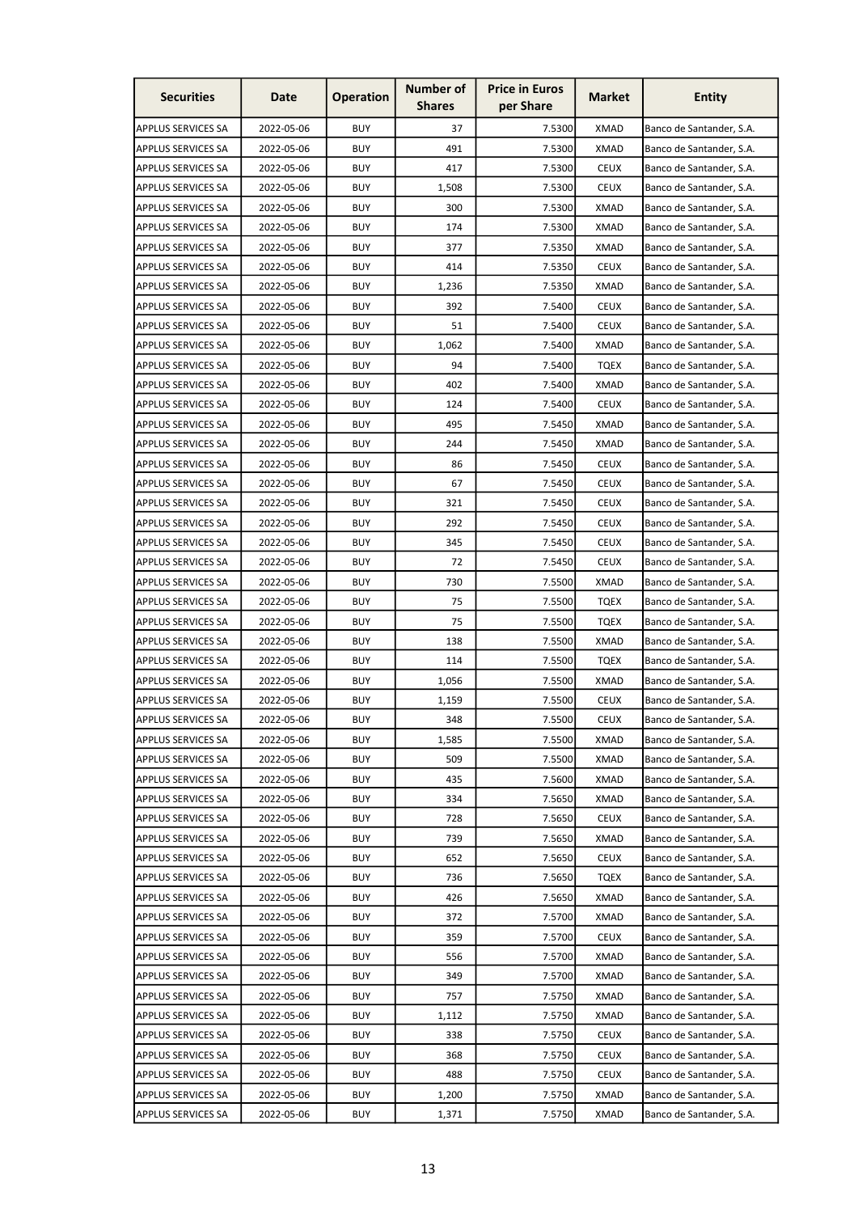| <b>Securities</b>         | Date       | <b>Operation</b> | Number of<br><b>Shares</b> | <b>Price in Euros</b><br>per Share | <b>Market</b> | <b>Entity</b>            |
|---------------------------|------------|------------------|----------------------------|------------------------------------|---------------|--------------------------|
| <b>APPLUS SERVICES SA</b> | 2022-05-06 | <b>BUY</b>       | 37                         | 7.5300                             | <b>XMAD</b>   | Banco de Santander, S.A. |
| APPLUS SERVICES SA        | 2022-05-06 | <b>BUY</b>       | 491                        | 7.5300                             | <b>XMAD</b>   | Banco de Santander, S.A. |
| APPLUS SERVICES SA        | 2022-05-06 | <b>BUY</b>       | 417                        | 7.5300                             | <b>CEUX</b>   | Banco de Santander, S.A. |
| APPLUS SERVICES SA        | 2022-05-06 | <b>BUY</b>       | 1,508                      | 7.5300                             | <b>CEUX</b>   | Banco de Santander, S.A. |
| APPLUS SERVICES SA        | 2022-05-06 | <b>BUY</b>       | 300                        | 7.5300                             | <b>XMAD</b>   | Banco de Santander, S.A. |
| <b>APPLUS SERVICES SA</b> | 2022-05-06 | <b>BUY</b>       | 174                        | 7.5300                             | <b>XMAD</b>   | Banco de Santander, S.A. |
| APPLUS SERVICES SA        | 2022-05-06 | <b>BUY</b>       | 377                        | 7.5350                             | <b>XMAD</b>   | Banco de Santander, S.A. |
| <b>APPLUS SERVICES SA</b> | 2022-05-06 | <b>BUY</b>       | 414                        | 7.5350                             | <b>CEUX</b>   | Banco de Santander, S.A. |
| APPLUS SERVICES SA        | 2022-05-06 | <b>BUY</b>       | 1,236                      | 7.5350                             | <b>XMAD</b>   | Banco de Santander, S.A. |
| APPLUS SERVICES SA        | 2022-05-06 | <b>BUY</b>       | 392                        | 7.5400                             | <b>CEUX</b>   | Banco de Santander, S.A. |
| <b>APPLUS SERVICES SA</b> | 2022-05-06 | <b>BUY</b>       | 51                         | 7.5400                             | <b>CEUX</b>   | Banco de Santander, S.A. |
| APPLUS SERVICES SA        | 2022-05-06 | <b>BUY</b>       | 1,062                      | 7.5400                             | <b>XMAD</b>   | Banco de Santander, S.A. |
| APPLUS SERVICES SA        | 2022-05-06 | <b>BUY</b>       | 94                         | 7.5400                             | <b>TQEX</b>   | Banco de Santander, S.A. |
| APPLUS SERVICES SA        | 2022-05-06 | BUY              | 402                        | 7.5400                             | <b>XMAD</b>   | Banco de Santander, S.A. |
| <b>APPLUS SERVICES SA</b> | 2022-05-06 | <b>BUY</b>       | 124                        | 7.5400                             | <b>CEUX</b>   | Banco de Santander, S.A. |
| APPLUS SERVICES SA        | 2022-05-06 | <b>BUY</b>       | 495                        | 7.5450                             | <b>XMAD</b>   | Banco de Santander, S.A. |
| APPLUS SERVICES SA        | 2022-05-06 | <b>BUY</b>       | 244                        | 7.5450                             | <b>XMAD</b>   | Banco de Santander, S.A. |
| <b>APPLUS SERVICES SA</b> | 2022-05-06 | <b>BUY</b>       | 86                         | 7.5450                             | <b>CEUX</b>   | Banco de Santander, S.A. |
| <b>APPLUS SERVICES SA</b> | 2022-05-06 | <b>BUY</b>       | 67                         | 7.5450                             | <b>CEUX</b>   | Banco de Santander, S.A. |
| APPLUS SERVICES SA        | 2022-05-06 | <b>BUY</b>       | 321                        | 7.5450                             | <b>CEUX</b>   | Banco de Santander, S.A. |
| APPLUS SERVICES SA        | 2022-05-06 | <b>BUY</b>       | 292                        | 7.5450                             | <b>CEUX</b>   | Banco de Santander, S.A. |
| <b>APPLUS SERVICES SA</b> | 2022-05-06 | <b>BUY</b>       | 345                        | 7.5450                             | <b>CEUX</b>   | Banco de Santander, S.A. |
| APPLUS SERVICES SA        | 2022-05-06 | <b>BUY</b>       | 72                         | 7.5450                             | <b>CEUX</b>   | Banco de Santander, S.A. |
| APPLUS SERVICES SA        | 2022-05-06 | <b>BUY</b>       | 730                        | 7.5500                             | <b>XMAD</b>   | Banco de Santander, S.A. |
| <b>APPLUS SERVICES SA</b> | 2022-05-06 | <b>BUY</b>       | 75                         | 7.5500                             | <b>TQEX</b>   | Banco de Santander, S.A. |
| <b>APPLUS SERVICES SA</b> | 2022-05-06 | <b>BUY</b>       | 75                         | 7.5500                             | TQEX          | Banco de Santander, S.A. |
| <b>APPLUS SERVICES SA</b> | 2022-05-06 | <b>BUY</b>       | 138                        | 7.5500                             | <b>XMAD</b>   | Banco de Santander, S.A. |
| APPLUS SERVICES SA        | 2022-05-06 | <b>BUY</b>       | 114                        | 7.5500                             | TQEX          | Banco de Santander, S.A. |
| APPLUS SERVICES SA        | 2022-05-06 | <b>BUY</b>       | 1,056                      | 7.5500                             | <b>XMAD</b>   | Banco de Santander, S.A. |
| <b>APPLUS SERVICES SA</b> | 2022-05-06 | <b>BUY</b>       | 1,159                      | 7.5500                             | <b>CEUX</b>   | Banco de Santander, S.A. |
| <b>APPLUS SERVICES SA</b> | 2022-05-06 | <b>BUY</b>       | 348                        | 7.5500                             | <b>CEUX</b>   | Banco de Santander, S.A. |
| APPLUS SERVICES SA        | 2022-05-06 | <b>BUY</b>       | 1,585                      | 7.5500                             | XMAD          | Banco de Santander, S.A. |
| APPLUS SERVICES SA        | 2022-05-06 | <b>BUY</b>       | 509                        | 7.5500                             | XMAD          | Banco de Santander, S.A. |
| APPLUS SERVICES SA        | 2022-05-06 | <b>BUY</b>       | 435                        | 7.5600                             | <b>XMAD</b>   | Banco de Santander, S.A. |
| APPLUS SERVICES SA        | 2022-05-06 | <b>BUY</b>       | 334                        | 7.5650                             | <b>XMAD</b>   | Banco de Santander, S.A. |
| <b>APPLUS SERVICES SA</b> | 2022-05-06 | <b>BUY</b>       | 728                        | 7.5650                             | <b>CEUX</b>   | Banco de Santander, S.A. |
| APPLUS SERVICES SA        | 2022-05-06 | <b>BUY</b>       | 739                        | 7.5650                             | <b>XMAD</b>   | Banco de Santander, S.A. |
| <b>APPLUS SERVICES SA</b> | 2022-05-06 | <b>BUY</b>       | 652                        | 7.5650                             | <b>CEUX</b>   | Banco de Santander, S.A. |
| APPLUS SERVICES SA        | 2022-05-06 | <b>BUY</b>       | 736                        | 7.5650                             | <b>TQEX</b>   | Banco de Santander, S.A. |
| APPLUS SERVICES SA        | 2022-05-06 | <b>BUY</b>       | 426                        | 7.5650                             | XMAD          | Banco de Santander, S.A. |
| APPLUS SERVICES SA        | 2022-05-06 | <b>BUY</b>       | 372                        | 7.5700                             | XMAD          | Banco de Santander, S.A. |
| <b>APPLUS SERVICES SA</b> | 2022-05-06 | <b>BUY</b>       | 359                        | 7.5700                             | <b>CEUX</b>   | Banco de Santander, S.A. |
| APPLUS SERVICES SA        | 2022-05-06 | <b>BUY</b>       | 556                        | 7.5700                             | <b>XMAD</b>   | Banco de Santander, S.A. |
| APPLUS SERVICES SA        | 2022-05-06 | <b>BUY</b>       | 349                        | 7.5700                             | <b>XMAD</b>   | Banco de Santander, S.A. |
| <b>APPLUS SERVICES SA</b> | 2022-05-06 | <b>BUY</b>       | 757                        | 7.5750                             | <b>XMAD</b>   | Banco de Santander, S.A. |
| APPLUS SERVICES SA        | 2022-05-06 | <b>BUY</b>       | 1,112                      | 7.5750                             | <b>XMAD</b>   | Banco de Santander, S.A. |
| APPLUS SERVICES SA        | 2022-05-06 | <b>BUY</b>       | 338                        | 7.5750                             | <b>CEUX</b>   | Banco de Santander, S.A. |
| APPLUS SERVICES SA        | 2022-05-06 | <b>BUY</b>       | 368                        | 7.5750                             | <b>CEUX</b>   | Banco de Santander, S.A. |
| <b>APPLUS SERVICES SA</b> | 2022-05-06 | <b>BUY</b>       | 488                        | 7.5750                             | <b>CEUX</b>   | Banco de Santander, S.A. |
| APPLUS SERVICES SA        | 2022-05-06 | <b>BUY</b>       | 1,200                      | 7.5750                             | <b>XMAD</b>   | Banco de Santander, S.A. |
|                           |            |                  |                            |                                    |               |                          |
| <b>APPLUS SERVICES SA</b> | 2022-05-06 | BUY              | 1,371                      | 7.5750                             | XMAD          | Banco de Santander, S.A. |